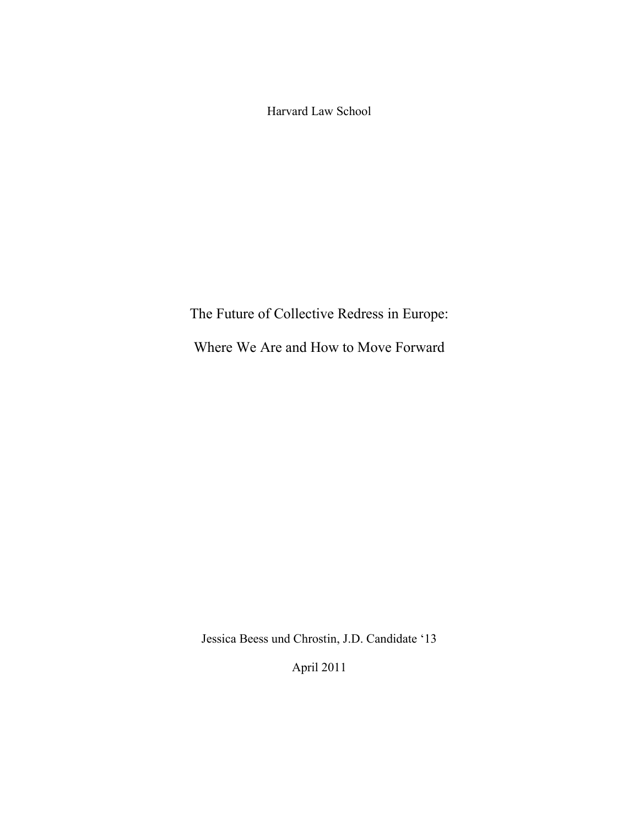Harvard Law School

The Future of Collective Redress in Europe:

Where We Are and How to Move Forward

Jessica Beess und Chrostin, J.D. Candidate '13

April 2011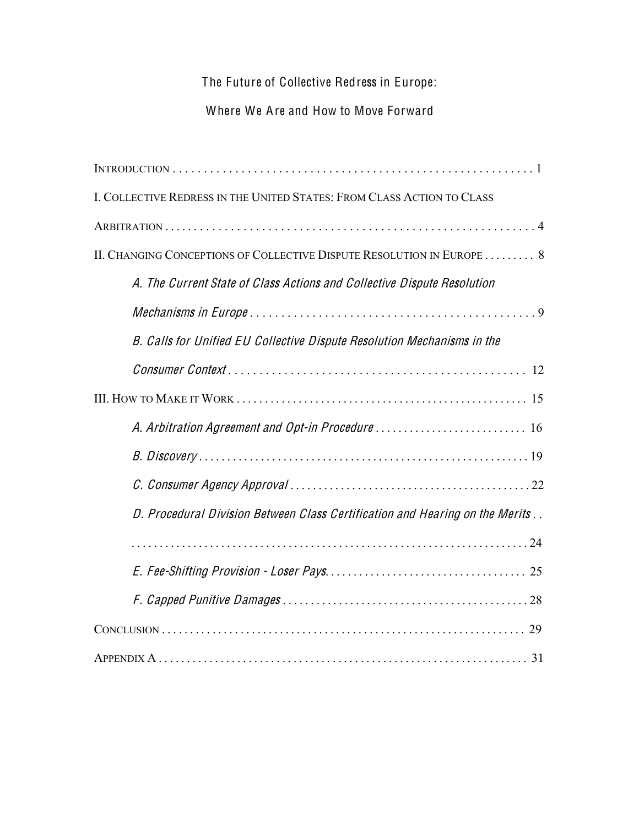The Future of Collective Redress in Europe:

# Where We Are and How to Move Forward

| I. COLLECTIVE REDRESS IN THE UNITED STATES: FROM CLASS ACTION TO CLASS       |
|------------------------------------------------------------------------------|
|                                                                              |
| II. CHANGING CONCEPTIONS OF COLLECTIVE DISPUTE RESOLUTION IN EUROPE 8        |
| A. The Current State of Class Actions and Collective Dispute Resolution      |
|                                                                              |
| B. Calls for Unified EU Collective Dispute Resolution Mechanisms in the      |
|                                                                              |
|                                                                              |
| A. Arbitration Agreement and Opt-in Procedure  16                            |
|                                                                              |
|                                                                              |
| D. Procedural Division Between Class Certification and Hearing on the Merits |
|                                                                              |
|                                                                              |
|                                                                              |
|                                                                              |
|                                                                              |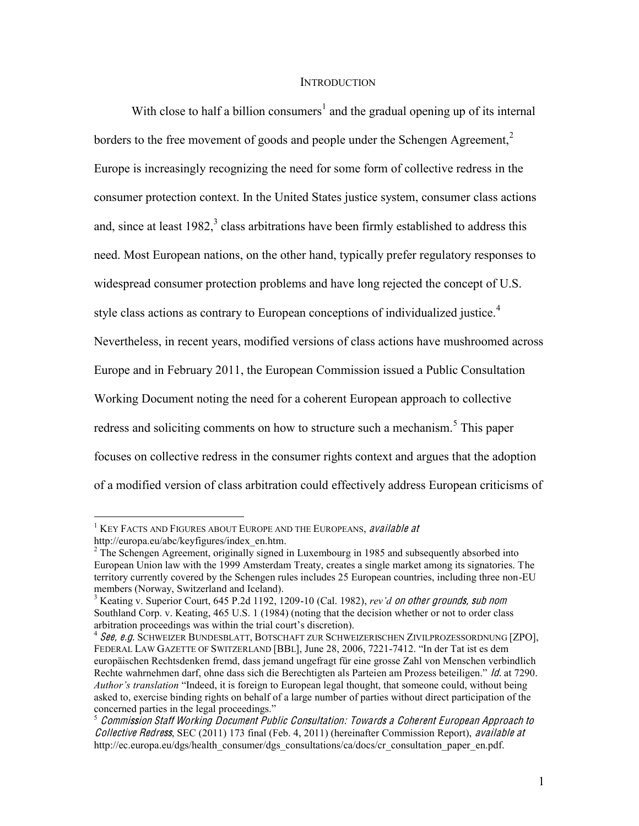#### **INTRODUCTION**

With close to half a billion consumers<sup>1</sup> and the gradual opening up of its internal borders to the free movement of goods and people under the Schengen Agreement.<sup>2</sup> Europe is increasingly recognizing the need for some form of collective redress in the consumer protection context. In the United States justice system, consumer class actions and, since at least  $1982$ ,<sup>3</sup> class arbitrations have been firmly established to address this need. Most European nations, on the other hand, typically prefer regulatory responses to widespread consumer protection problems and have long rejected the concept of U.S. style class actions as contrary to European conceptions of individualized justice.<sup>4</sup> Nevertheless, in recent years, modified versions of class actions have mushroomed across Europe and in February 2011, the European Commission issued a Public Consultation Working Document noting the need for a coherent European approach to collective redress and soliciting comments on how to structure such a mechanism.<sup>5</sup> This paper focuses on collective redress in the consumer rights context and argues that the adoption of a modified version of class arbitration could effectively address European criticisms of

 $1$  KEY FACTS AND FIGURES ABOUT EUROPE AND THE EUROPEANS, available at

http://europa.eu/abc/keyfigures/index\_en.htm.<br><sup>2</sup> The Schengen Agreement, originally signed in Luxembourg in 1985 and subsequently absorbed into European Union law with the 1999 Amsterdam Treaty, creates a single market among its signatories. The territory currently covered by the Schengen rules includes 25 European countries, including three non-EU members (Norway, Switzerland and Iceland).

<sup>&</sup>lt;sup>3</sup> Keating v. Superior Court, 645 P.2d 1192, 1209-10 (Cal. 1982), *rev'd on other grounds, sub nom* Southland Corp. v. Keating, 465 U.S. 1 (1984) (noting that the decision whether or not to order class arbitration proceedings was within the trial court's discretion).

<sup>&</sup>lt;sup>4</sup> See, e.g. Schweizer Bundesblatt, Botschaft zur Schweizerischen Zivilprozessordnung [ZPO], FEDERAL LAW GAZETTE OF SWITZERLAND [BBL], June 28, 2006, 7221-7412. "In der Tat ist es dem europäischen Rechtsdenken fremd, dass jemand ungefragt für eine grosse Zahl von Menschen verbindlich Rechte wahrnehmen darf, ohne dass sich die Berechtigten als Parteien am Prozess beteiligen." *Id.* at 7290. *Author's translation* "Indeed, it is foreign to European legal thought, that someone could, without being asked to, exercise binding rights on behalf of a large number of parties without direct participation of the concerned parties in the legal proceedings."<br><sup>5</sup> Commission Staff Working Document Public Consultation: Towards a Coherent European Approach to

Collectiv<sup>e</sup> Redress, SEC (2011) 173 final (Feb. 4, 2011) (hereinafter Commission Report), availabl<sup>e</sup> <sup>a</sup><sup>t</sup> http://ec.europa.eu/dgs/health\_consumer/dgs\_consultations/ca/docs/cr\_consultation\_paper\_en.pdf.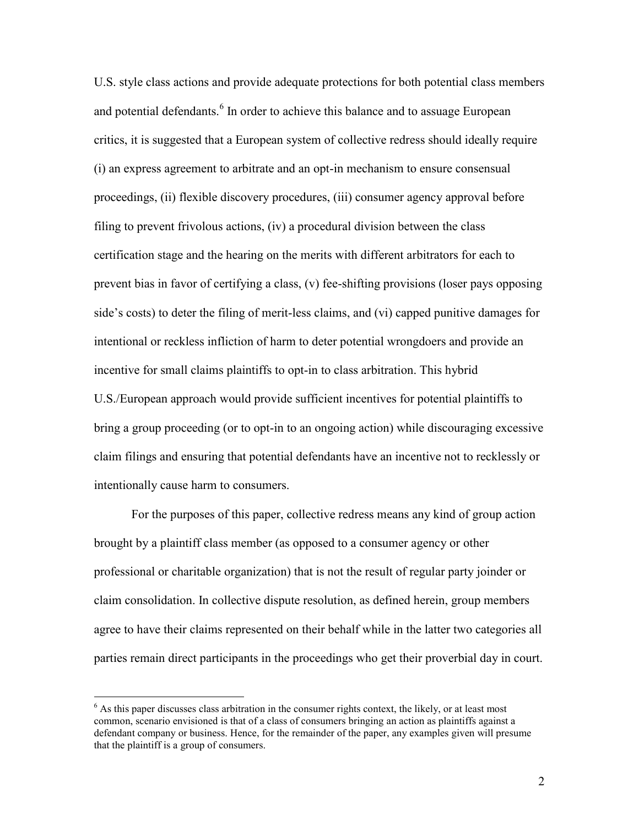U.S. style class actions and provide adequate protections for both potential class members and potential defendants.<sup>6</sup> In order to achieve this balance and to assuage European critics, it is suggested that a European system of collective redress should ideally require (i) an express agreement to arbitrate and an opt-in mechanism to ensure consensual proceedings, (ii) flexible discovery procedures, (iii) consumer agency approval before filing to prevent frivolous actions, (iv) a procedural division between the class certification stage and the hearing on the merits with different arbitrators for each to prevent bias in favor of certifying a class, (v) fee-shifting provisions (loser pays opposing side's costs) to deter the filing of merit-less claims, and (vi) capped punitive damages for intentional or reckless infliction of harm to deter potential wrongdoers and provide an incentive for small claims plaintiffs to opt-in to class arbitration. This hybrid U.S./European approach would provide sufficient incentives for potential plaintiffs to bring a group proceeding (or to opt-in to an ongoing action) while discouraging excessive claim filings and ensuring that potential defendants have an incentive not to recklessly or intentionally cause harm to consumers.

For the purposes of this paper, collective redress means any kind of group action brought by a plaintiff class member (as opposed to a consumer agency or other professional or charitable organization) that is not the result of regular party joinder or claim consolidation. In collective dispute resolution, as defined herein, group members agree to have their claims represented on their behalf while in the latter two categories all parties remain direct participants in the proceedings who get their proverbial day in court.

 $6$  As this paper discusses class arbitration in the consumer rights context, the likely, or at least most common, scenario envisioned is that of a class of consumers bringing an action as plaintiffs against a defendant company or business. Hence, for the remainder of the paper, any examples given will presume that the plaintiff is a group of consumers.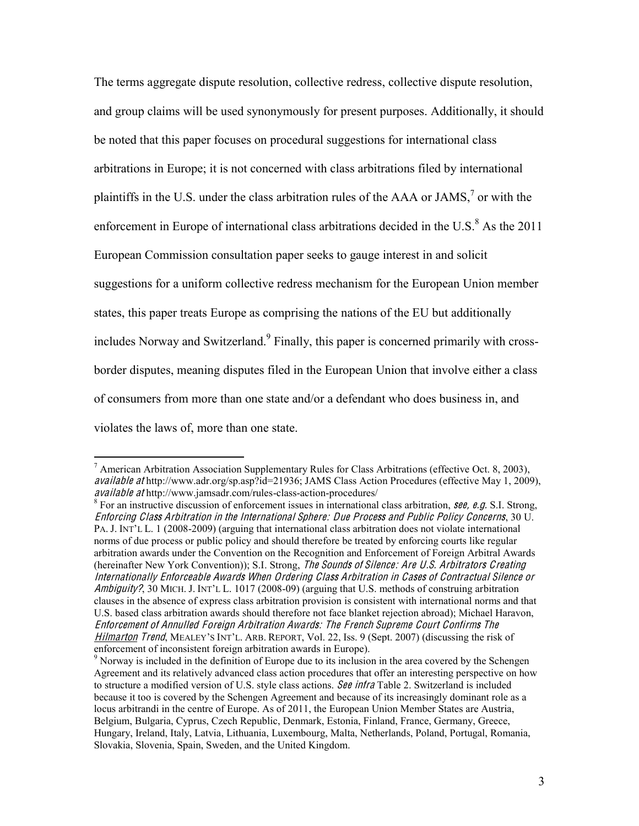The terms aggregate dispute resolution, collective redress, collective dispute resolution, and group claims will be used synonymously for present purposes. Additionally, it should be noted that this paper focuses on procedural suggestions for international class arbitrations in Europe; it is not concerned with class arbitrations filed by international plaintiffs in the U.S. under the class arbitration rules of the AAA or JAMS,<sup>7</sup> or with the enforcement in Europe of international class arbitrations decided in the U.S. $8$  As the 2011 European Commission consultation paper seeks to gauge interest in and solicit suggestions for a uniform collective redress mechanism for the European Union member states, this paper treats Europe as comprising the nations of the EU but additionally includes Norway and Switzerland.<sup>9</sup> Finally, this paper is concerned primarily with crossborder disputes, meaning disputes filed in the European Union that involve either a class of consumers from more than one state and/or a defendant who does business in, and violates the laws of, more than one state.

<sup>&</sup>lt;sup>7</sup> American Arbitration Association Supplementary Rules for Class Arbitrations (effective Oct. 8, 2003), availabl<sup>e</sup> <sup>a</sup><sup>t</sup> http://www.adr.org/sp.asp?id=21936; JAMS Class Action Procedures (effective May 1, 2009), availabl<sup>e</sup> <sup>a</sup><sup>t</sup> http://www.jamsadr.com/rules-class-action-procedures/ 8 For an instructive discussion of enforcement issues in international class arbitration, <sup>s</sup>ee, <sup>e</sup>.g. S.I. Strong,

Enfor<sup>c</sup>ing Class Arbitration in <sup>t</sup>h<sup>e</sup> International Sph<sup>e</sup>re: Du<sup>e</sup> Process and Publi<sup>c</sup> Policy Concern<sup>s</sup>, 30 U. PA. J. INT'L L. 1 (2008-2009) (arguing that international class arbitration does not violate international norms of due process or public policy and should therefore be treated by enforcing courts like regular arbitration awards under the Convention on the Recognition and Enforcement of Foreign Arbitral Awards (hereinafter New York Convention)); S.I. Strong, The Sounds of Silence: Are U.S. Arbitrators Creating Internationally Enforceabl<sup>e</sup> Award<sup>s</sup> Whe<sup>n</sup> Ordering Class Arbitration in Case<sup>s</sup> <sup>o</sup>f Contractual Silence or Ambiguity?, 30 MICH. J. INT'L L. 1017 (2008-09) (arguing that U.S. methods of construing arbitration clauses in the absence of express class arbitration provision is consistent with international norms and that U.S. based class arbitration awards should therefore not face blanket rejection abroad); Michael Haravon, Enforcement <sup>o</sup>f Annulled Foreign Arbitration Awards: Th<sup>e</sup> French Suprem<sup>e</sup> Court Confirm<sup>s</sup> Th<sup>e</sup> Hilmarton Trend, MEALEY'S INT'L. ARB. REPORT, Vol. 22, Iss. 9 (Sept. 2007) (discussing the risk of enforcement of inconsistent foreign arbitration awards in Europe).

<sup>&</sup>lt;sup>9</sup> Norway is included in the definition of Europe due to its inclusion in the area covered by the Schengen Agreement and its relatively advanced class action procedures that offer an interesting perspective on how to structure a modified version of U.S. style class actions. See infra Table 2. Switzerland is included because it too is covered by the Schengen Agreement and because of its increasingly dominant role as a locus arbitrandi in the centre of Europe. As of 2011, the European Union Member States are Austria, Belgium, Bulgaria, Cyprus, Czech Republic, Denmark, Estonia, Finland, France, Germany, Greece, Hungary, Ireland, Italy, Latvia, Lithuania, Luxembourg, Malta, Netherlands, Poland, Portugal, Romania, Slovakia, Slovenia, Spain, Sweden, and the United Kingdom.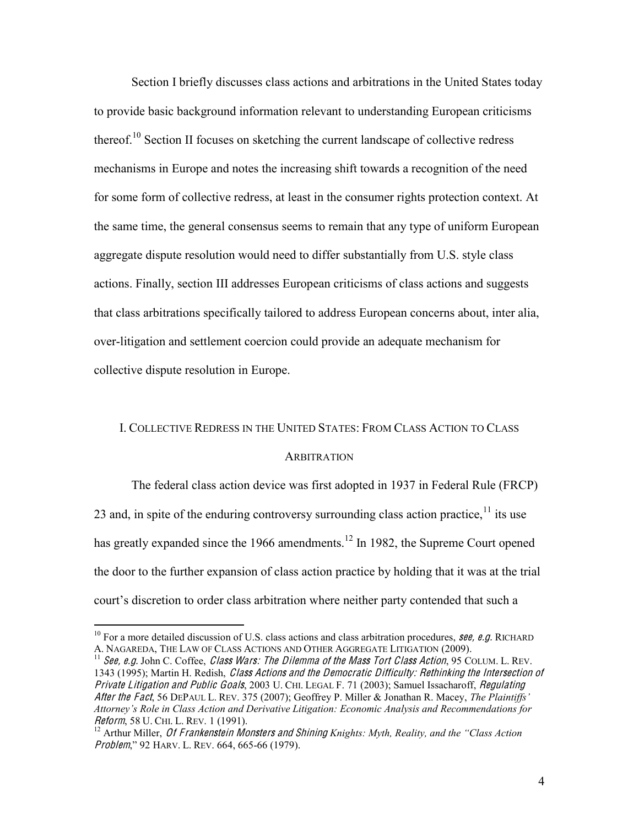Section I briefly discusses class actions and arbitrations in the United States today to provide basic background information relevant to understanding European criticisms thereof.<sup>10</sup> Section II focuses on sketching the current landscape of collective redress mechanisms in Europe and notes the increasing shift towards a recognition of the need for some form of collective redress, at least in the consumer rights protection context. At the same time, the general consensus seems to remain that any type of uniform European aggregate dispute resolution would need to differ substantially from U.S. style class actions. Finally, section III addresses European criticisms of class actions and suggests that class arbitrations specifically tailored to address European concerns about, inter alia, over-litigation and settlement coercion could provide an adequate mechanism for collective dispute resolution in Europe.

#### I. COLLECTIVE REDRESS IN THE UNITED STATES: FROM CLASS ACTION TO CLASS

#### **ARBITRATION**

The federal class action device was first adopted in 1937 in Federal Rule (FRCP) 23 and, in spite of the enduring controversy surrounding class action practice,  $\frac{11}{11}$  its use has greatly expanded since the 1966 amendments.<sup>12</sup> In 1982, the Supreme Court opened the door to the further expansion of class action practice by holding that it was at the trial court's discretion to order class arbitration where neither party contended that such a

<sup>&</sup>lt;sup>10</sup> For a more detailed discussion of U.S. class actions and class arbitration procedures, **see, e.g.** RICHARD A. NAGAREDA, THE LAW OF CLASS ACTIONS AND OTHER AGGREGATE LITIGATION (2009).

 $^{11}$  See, e.g. John C. Coffee, Class Wars: The Dilemma of the Mass Tort Class Action, 95 COLUM. L. REV. 1343 (1995); Martin H. Redish, Class Actions and the Democratic Difficulty: Rethinking the Intersection of Privat<sup>e</sup> Litigation and Publi<sup>c</sup> Goals, 2003 U. CHI. LEGAL F. 71 (2003); Samuel Issacharoff, Regulating After the Fact, 56 DEPAUL L. REV. 375 (2007); Geoffrey P. Miller & Jonathan R. Macey, *The Plaintiffs'* Attorney's Role in Class Action and Derivative Litigation: Economic Analysis and Recommendations for Reform, 58 U. CHI. L. REV. 1 (1991).<br><sup>12</sup> Arthur Miller, *Of Frankenstein Monsters and Shining Knights: Myth, Reality, and the "Class Action* 

Problem," 92 HARV. L. REV. 664, 665-66 (1979).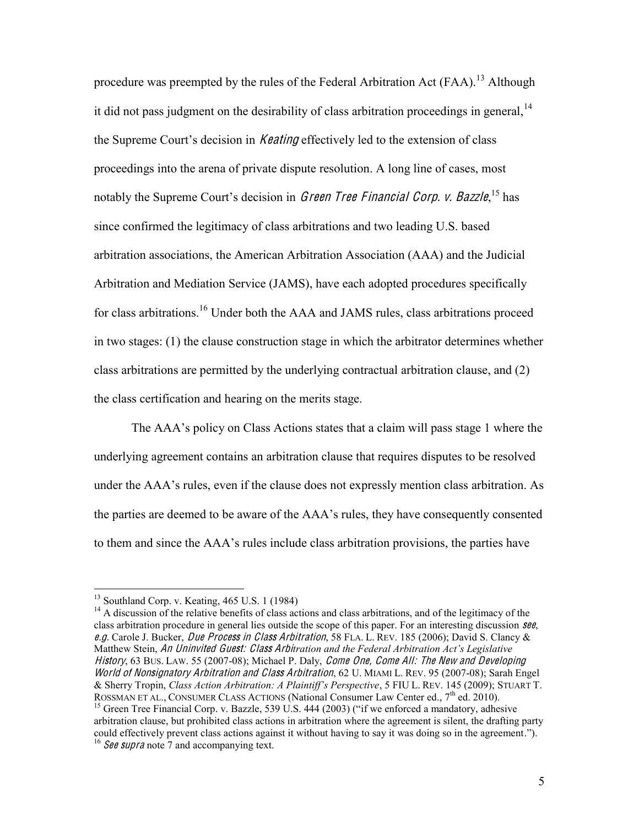procedure was preempted by the rules of the Federal Arbitration Act (FAA).<sup>13</sup> Although it did not pass judgment on the desirability of class arbitration proceedings in general,  $14$ the Supreme Court's decision in *Keating* effectively led to the extension of class proceedings into the arena of private dispute resolution. A long line of cases, most notably the Supreme Court's decision in *Green Tree Financial Corp. v. Bazzle*,<sup>15</sup> has since confirmed the legitimacy of class arbitrations and two leading U.S. based arbitration associations, the American Arbitration Association (AAA) and the Judicial Arbitration and Mediation Service (JAMS), have each adopted procedures specifically for class arbitrations.<sup>16</sup> Under both the AAA and JAMS rules, class arbitrations proceed in two stages: (1) the clause construction stage in which the arbitrator determines whether class arbitrations are permitted by the underlying contractual arbitration clause, and (2) the class certification and hearing on the merits stage.

The AAA's policy on Class Actions states that a claim will pass stage 1 where the underlying agreement contains an arbitration clause that requires disputes to be resolved under the AAA's rules, even if the clause does not expressly mention class arbitration. As the parties are deemed to be aware of the AAA's rules, they have consequently consented to them and since the AAA's rules include class arbitration provisions, the parties have

<sup>&</sup>lt;sup>13</sup> Southland Corp. v. Keating, 465 U.S. 1 (1984)<br><sup>14</sup> A discussion of the relative benefits of class actions and class arbitrations, and of the legitimacy of the class arbitration procedure in general lies outside the scope of this paper. For an interesting discussion see, <sup>e</sup>.g. Carole J. Bucker, Du<sup>e</sup> Process in Class Arbitration, 58 FLA. L. REV. 185 (2006); David S. Clancy & Matthew Stein, An Uninvited Guest: Class Arbitration and the Federal Arbitration Act's Legislative History, 63 BUS. LAW. 55 (2007-08); Michael P. Daly, Come One, Come All: The New and Developing World <sup>o</sup>f Nonsignatory Arbitration and Class Arbitration, 62 U. MIAMI L. REV. 95 (2007-08); Sarah Engel  $&$  Sherry Tropin, *Class Action Arbitration: A Plaintiff's Perspective*, 5 FIU L. REV. 145 (2009); STUART T. ROSSMAN ET AL., CONSUMER CLASS ACTIONS (National Consumer Law Center ed.,  $7<sup>th</sup>$  ed. 2010).<br><sup>15</sup> Green Tree Financial Corp. v. Bazzle, 539 U.S. 444 (2003) ("if we enforced a mandatory, adhesive

arbitration clause, but prohibited class actions in arbitration where the agreement is silent, the drafting party could effectively prevent class actions against it without having to say it was doing so in the agreement."). <sup>16</sup> See supra note 7 and accompanying text.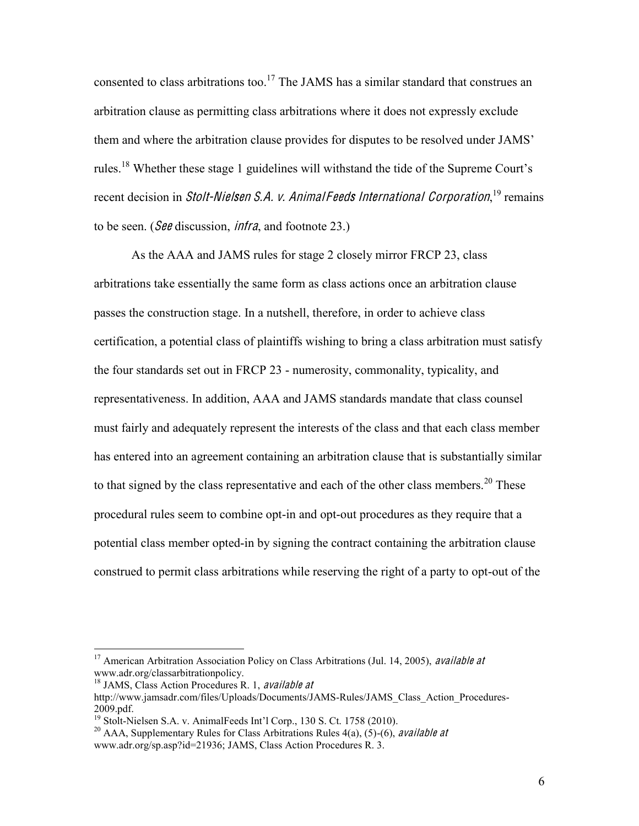consented to class arbitrations too.<sup>17</sup> The JAMS has a similar standard that construes an arbitration clause as permitting class arbitrations where it does not expressly exclude them and where the arbitration clause provides for disputes to be resolved under JAMS' rules.<sup>18</sup> Whether these stage 1 guidelines will withstand the tide of the Supreme Court's recent decision in *Stolt-Nielsen S.A. v. Animal Feeds International Corporation*,<sup>19</sup> remains to be seen. ( $\mathcal{S}\theta\theta$  discussion, *infra*, and footnote 23.)

As the AAA and JAMS rules for stage 2 closely mirror FRCP 23, class arbitrations take essentially the same form as class actions once an arbitration clause passes the construction stage. In a nutshell, therefore, in order to achieve class certification, a potential class of plaintiffs wishing to bring a class arbitration must satisfy the four standards set out in FRCP 23 - numerosity, commonality, typicality, and representativeness. In addition, AAA and JAMS standards mandate that class counsel must fairly and adequately represent the interests of the class and that each class member has entered into an agreement containing an arbitration clause that is substantially similar to that signed by the class representative and each of the other class members.<sup>20</sup> These procedural rules seem to combine opt-in and opt-out procedures as they require that a potential class member opted-in by signing the contract containing the arbitration clause construed to permit class arbitrations while reserving the right of a party to opt-out of the

<sup>&</sup>lt;sup>17</sup> American Arbitration Association Policy on Class Arbitrations (Jul. 14, 2005), *available at* www.adr.org/classarbitrationpolicy.

 $18$  JAMS, Class Action Procedures R, 1, *available at* 

http://www.jamsadr.com/files/Uploads/Documents/JAMS-Rules/JAMS\_Class\_Action\_Procedures-2009.pdf.<br><sup>19</sup> Stolt-Nielsen S.A. v. AnimalFeeds Int'l Corp., 130 S. Ct. 1758 (2010).<br><sup>20</sup> AAA, Supplementary Rules for Class Arbitrations Rules 4(a), (5)-(6), *available at* 

www.adr.org/sp.asp?id=21936; JAMS, Class Action Procedures R. 3.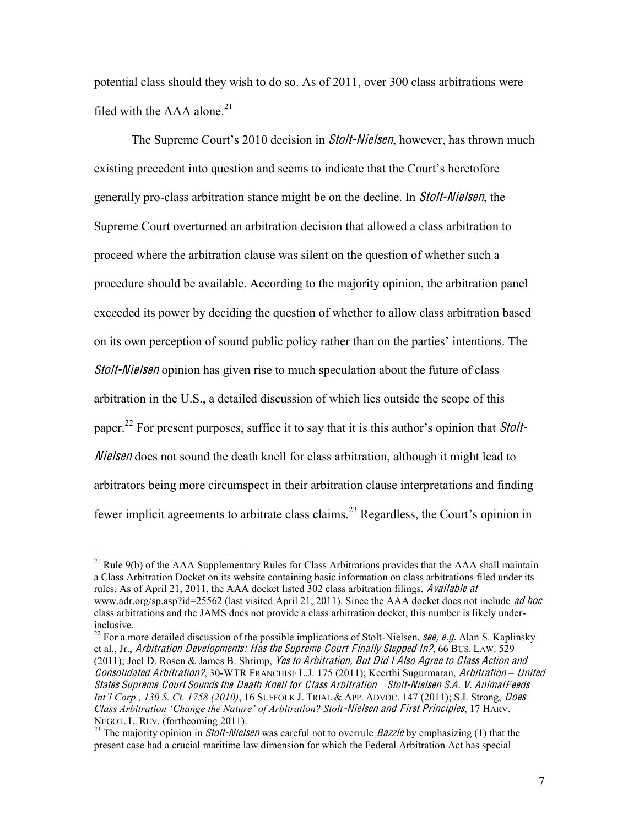potential class should they wish to do so. As of 2011, over 300 class arbitrations were filed with the AAA alone. $21$ 

The Supreme Court's 2010 decision in *Stolt-Nielsen*, however, has thrown much existing precedent into question and seems to indicate that the Court's heretofore generally pro-class arbitration stance might be on the decline. In Stolt-Nielsen, the Supreme Court overturned an arbitration decision that allowed a class arbitration to proceed where the arbitration clause was silent on the question of whether such a procedure should be available. According to the majority opinion, the arbitration panel exceeded its power by deciding the question of whether to allow class arbitration based on its own perception of sound public policy rather than on the parties' intentions. The Stolt-Nielse<sup>n</sup> opinion has given rise to much speculation about the future of class arbitration in the U.S., a detailed discussion of which lies outside the scope of this paper.<sup>22</sup> For present purposes, suffice it to say that it is this author's opinion that *Stolt*-*Nielsen* does not sound the death knell for class arbitration, although it might lead to arbitrators being more circumspect in their arbitration clause interpretations and finding fewer implicit agreements to arbitrate class claims.<sup>23</sup> Regardless, the Court's opinion in

<sup>22</sup> For a more detailed discussion of the possible implications of Stolt-Nielsen, **see, e.g.** Alan S. Kaplinsky et al., Jr., Arbitration Developments: Has the Supreme Court Finally Stepped In?, 66 BUS. LAW. 529 (2011); Joel D. Rosen & James B. Shrimp, Ye<sup>s</sup> <sup>t</sup><sup>o</sup> Arbitration, Bu<sup>t</sup> Did I Als<sup>o</sup> Agree <sup>t</sup><sup>o</sup> Class Action and Consolidated Arbitration?, 30-WTR FRANCHISE L.J. 175 (2011); Keerthi Sugurmaran, Arbitration *±* United States Supreme Court Sounds the Death Knell for Class Arbitration - Stolt-Nielsen S.A. V. AnimalFeeds *Int'l Corp., 130 S. Ct. 1758 (2010), 16 SUFFOLK J. TRIAL & APP. ADVOC. 147 (2011); S.I. Strong, Does Class Arbitration 'Change the Nature' of Arbitration? Stolt-Nielsen and First Principles, 17 HARV.* NEGOT. L. REV. (forthcoming 2011).

 $21$  Rule 9(b) of the AAA Supplementary Rules for Class Arbitrations provides that the AAA shall maintain a Class Arbitration Docket on its website containing basic information on class arbitrations filed under its rules. As of April 21, 2011, the AAA docket listed 302 class arbitration filings. Available at www.adr.org/sp.asp?id=25562 (last visited April 21, 2011). Since the AAA docket does not include ad hoc class arbitrations and the JAMS does not provide a class arbitration docket, this number is likely underinclusive.

<sup>&</sup>lt;sup>23</sup> The maiority opinion in *Stolt-Nielsen* was careful not to overrule *Bazzle* by emphasizing (1) that the present case had a crucial maritime law dimension for which the Federal Arbitration Act has special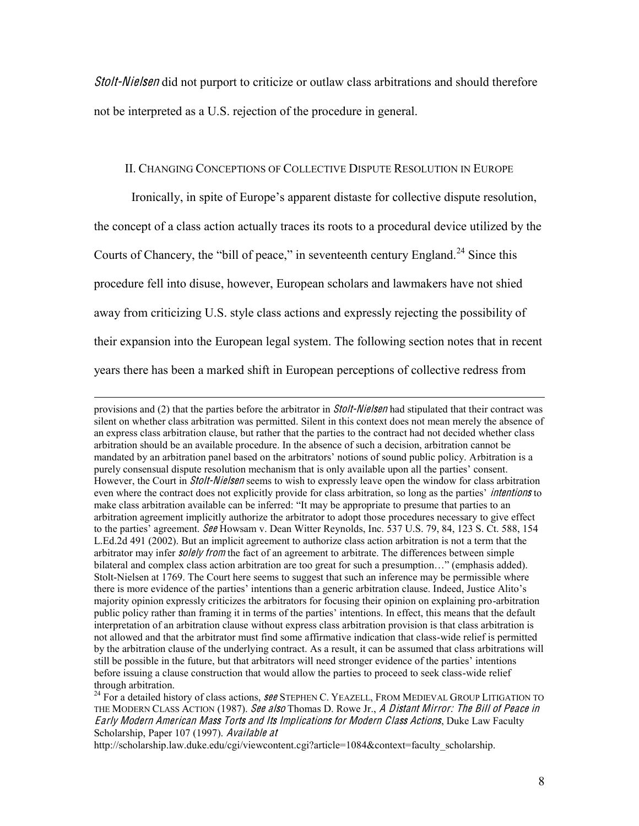Stolt-Nielse<sup>n</sup> did not purport to criticize or outlaw class arbitrations and should therefore not be interpreted as a U.S. rejection of the procedure in general.

## II. CHANGING CONCEPTIONS OF COLLECTIVE DISPUTE RESOLUTION IN EUROPE

Ironically, in spite of Europe's apparent distaste for collective dispute resolution, the concept of a class action actually traces its roots to a procedural device utilized by the Courts of Chancery, the "bill of peace," in seventeenth century England.<sup>24</sup> Since this procedure fell into disuse, however, European scholars and lawmakers have not shied away from criticizing U.S. style class actions and expressly rejecting the possibility of their expansion into the European legal system. The following section notes that in recent years there has been a marked shift in European perceptions of collective redress from

 $\overline{a}$ 

provisions and (2) that the parties before the arbitrator in *Stolt-Nielsen* had stipulated that their contract was silent on whether class arbitration was permitted. Silent in this context does not mean merely the absence of an express class arbitration clause, but rather that the parties to the contract had not decided whether class arbitration should be an available procedure. In the absence of such a decision, arbitration cannot be mandated by an arbitration panel based on the arbitrators' notions of sound public policy. Arbitration is a purely consensual dispute resolution mechanism that is only available upon all the parties' consent. However, the Court in *Stolt-Nielsen* seems to wish to expressly leave open the window for class arbitration even where the contract does not explicitly provide for class arbitration, so long as the parties' *intentions* to make class arbitration available can be inferred: "It may be appropriate to presume that parties to an arbitration agreement implicitly authorize the arbitrator to adopt those procedures necessary to give effect to the parties' agreement. See Howsam v. Dean Witter Reynolds, Inc. 537 U.S. 79, 84, 123 S. Ct. 588, 154 L.Ed.2d 491 (2002). But an implicit agreement to authorize class action arbitration is not a term that the arbitrator may infer *solely from* the fact of an agreement to arbitrate. The differences between simple bilateral and complex class action arbitration are too great for such a presumption..." (emphasis added). Stolt-Nielsen at 1769. The Court here seems to suggest that such an inference may be permissible where there is more evidence of the parties' intentions than a generic arbitration clause. Indeed, Justice Alito's majority opinion expressly criticizes the arbitrators for focusing their opinion on explaining pro-arbitration public policy rather than framing it in terms of the parties' intentions. In effect, this means that the default interpretation of an arbitration clause without express class arbitration provision is that class arbitration is not allowed and that the arbitrator must find some affirmative indication that class-wide relief is permitted by the arbitration clause of the underlying contract. As a result, it can be assumed that class arbitrations will still be possible in the future, but that arbitrators will need stronger evidence of the parties' intentions before issuing a clause construction that would allow the parties to proceed to seek class-wide relief through arbitration.

<sup>&</sup>lt;sup>24</sup> For a detailed history of class actions, **see STEPHEN C. YEAZELL, FROM MEDIEVAL GROUP LITIGATION TO** THE MODERN CLASS ACTION (1987). See also Thomas D. Rowe Jr., A Distant Mirror: The Bill of Peace in Early Modern American Mass Torts and Its Impli<sup>c</sup>ation<sup>s</sup> for Modern Class Actions, Duke Law Faculty Scholarship, Paper 107 (1997). Available at

http://scholarship.law.duke.edu/cgi/viewcontent.cgi?article=1084&context=faculty\_scholarship.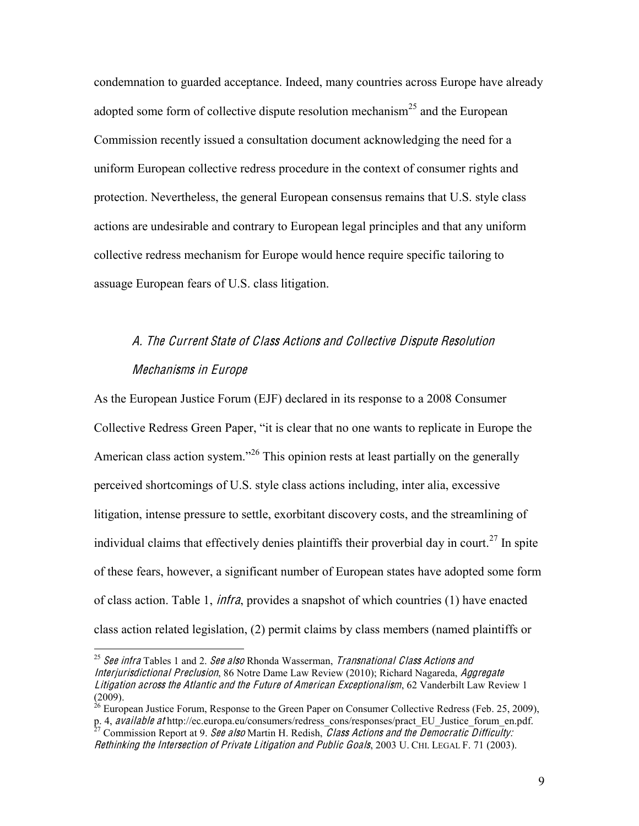condemnation to guarded acceptance. Indeed, many countries across Europe have already adopted some form of collective dispute resolution mechanism<sup>25</sup> and the European Commission recently issued a consultation document acknowledging the need for a uniform European collective redress procedure in the context of consumer rights and protection. Nevertheless, the general European consensus remains that U.S. style class actions are undesirable and contrary to European legal principles and that any uniform collective redress mechanism for Europe would hence require specific tailoring to assuage European fears of U.S. class litigation.

# A. Th<sup>e</sup> Current Stat<sup>e</sup> <sup>o</sup>f Class Action<sup>s</sup> and Collectiv<sup>e</sup> Disput<sup>e</sup> Resolution Mechanism<sup>s</sup> in Europ<sup>e</sup>

As the European Justice Forum (EJF) declared in its response to a 2008 Consumer Collective Redress Green Paper, "it is clear that no one wants to replicate in Europe the American class action system.<sup>226</sup> This opinion rests at least partially on the generally perceived shortcomings of U.S. style class actions including, inter alia, excessive litigation, intense pressure to settle, exorbitant discovery costs, and the streamlining of individual claims that effectively denies plaintiffs their proverbial day in court.<sup>27</sup> In spite of these fears, however, a significant number of European states have adopted some form of class action. Table 1, infra, provides a snapshot of which countries (1) have enacted class action related legislation, (2) permit claims by class members (named plaintiffs or

<sup>&</sup>lt;sup>25</sup> See infra Tables 1 and 2. See also Rhonda Wasserman, *Transnational Class Actions and* Interjurisdictional Preclusion, 86 Notre Dame Law Review (2010); Richard Nagareda, Aggr<sup>e</sup>gat<sup>e</sup> Litigation across the Atlantic and the Future of American Exceptionalism, 62 Vanderbilt Law Review 1  $(2009)$ .

 $^{26}$  European Justice Forum, Response to the Green Paper on Consumer Collective Redress (Feb. 25, 2009), p. 4, available at http://ec.europa.eu/consumers/redress\_cons/responses/pract\_EU\_Justice\_forum\_en.pdf. <sup>27</sup> Commission Report at 9. See also Martin H. Redish, *Class Actions and the Democratic Difficulty:* 

Rethinking the Intersection of Private Litigation and Public Goals, 2003 U. CHI. LEGAL F. 71 (2003).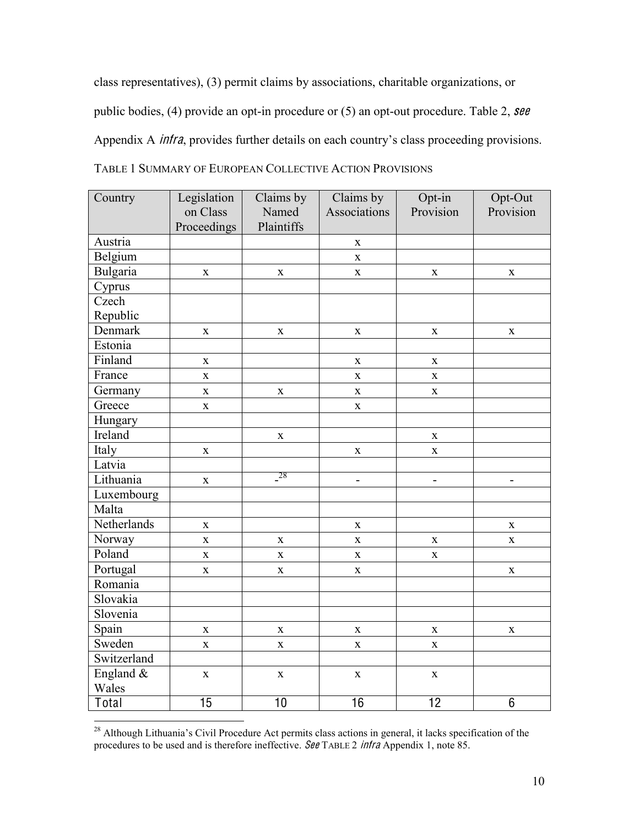class representatives), (3) permit claims by associations, charitable organizations, or public bodies, (4) provide an opt-in procedure or (5) an opt-out procedure. Table 2,  $\text{see}$ Appendix A *infra*, provides further details on each country's class proceeding provisions. TABLE 1 SUMMARY OF EUROPEAN COLLECTIVE ACTION PROVISIONS

| Country     | Legislation             | Claims by   | Claims by                | Opt-in                   | Opt-Out                      |
|-------------|-------------------------|-------------|--------------------------|--------------------------|------------------------------|
|             | on Class                | Named       | Associations             | Provision                | Provision                    |
|             | Proceedings             | Plaintiffs  |                          |                          |                              |
| Austria     |                         |             | $\mathbf X$              |                          |                              |
| Belgium     |                         |             | $\mathbf X$              |                          |                              |
| Bulgaria    | $\mathbf X$             | $\mathbf X$ | $\mathbf X$              | $\mathbf X$              | $\mathbf X$                  |
| Cyprus      |                         |             |                          |                          |                              |
| Czech       |                         |             |                          |                          |                              |
| Republic    |                         |             |                          |                          |                              |
| Denmark     | $\mathbf X$             | $\mathbf X$ | $\mathbf X$              | $\mathbf X$              | $\mathbf X$                  |
| Estonia     |                         |             |                          |                          |                              |
| Finland     | $\mathbf X$             |             | $\mathbf X$              | $\mathbf X$              |                              |
| France      | $\mathbf X$             |             | $\mathbf X$              | $\mathbf X$              |                              |
| Germany     | $\bar{\mathbf{X}}$      | $\mathbf X$ | $\mathbf X$              | $\mathbf X$              |                              |
| Greece      | $\bar{\mathbf{X}}$      |             | $\mathbf X$              |                          |                              |
| Hungary     |                         |             |                          |                          |                              |
| Ireland     |                         | $\mathbf X$ |                          | X                        |                              |
| Italy       | $\mathbf X$             |             | $\mathbf X$              | $\mathbf X$              |                              |
| Latvia      |                         |             |                          |                          |                              |
| Lithuania   | $\mathbf X$             | $-{}^{28}$  | $\overline{\phantom{a}}$ | $\overline{\phantom{0}}$ | $\qquad \qquad \blacksquare$ |
| Luxembourg  |                         |             |                          |                          |                              |
| Malta       |                         |             |                          |                          |                              |
| Netherlands | $\mathbf X$             |             | $\mathbf X$              |                          | $\mathbf X$                  |
| Norway      | $\mathbf X$             | $\mathbf X$ | $\mathbf X$              | X                        | $\mathbf X$                  |
| Poland      | $\mathbf X$             | $\mathbf X$ | $\mathbf X$              | X                        |                              |
| Portugal    | $\bf{X}$                | $\mathbf X$ | $\mathbf X$              |                          | $\mathbf X$                  |
| Romania     |                         |             |                          |                          |                              |
| Slovakia    |                         |             |                          |                          |                              |
| Slovenia    |                         |             |                          |                          |                              |
| Spain       | $\mathbf X$             | $\mathbf X$ | $\mathbf X$              | $\mathbf X$              | $\mathbf X$                  |
| Sweden      | $\overline{\mathbf{X}}$ | $\mathbf X$ | $\mathbf X$              | $\mathbf X$              |                              |
| Switzerland |                         |             |                          |                          |                              |
| England &   | $\mathbf X$             | $\mathbf X$ | $\mathbf X$              | $\mathbf X$              |                              |
| Wales       |                         |             |                          |                          |                              |
| Total       | $\overline{15}$         | 10          | 16                       | $\overline{12}$          | $6\phantom{1}$               |

<sup>&</sup>lt;sup>28</sup> Although Lithuania's Civil Procedure Act permits class actions in general, it lacks specification of the procedures to be used and is therefore ineffective. See TABLE 2 infra Appendix 1, note 85.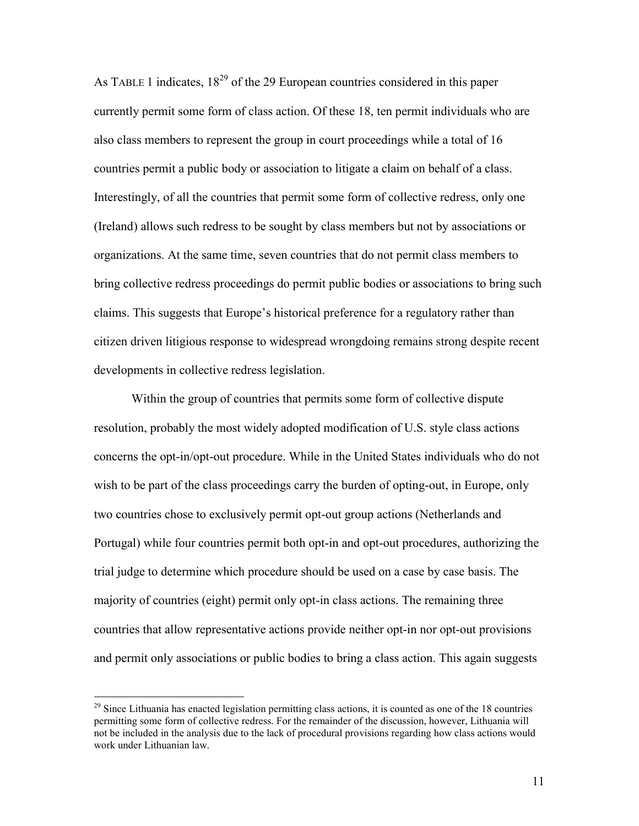As TABLE 1 indicates,  $18^{29}$  of the 29 European countries considered in this paper currently permit some form of class action. Of these 18, ten permit individuals who are also class members to represent the group in court proceedings while a total of 16 countries permit a public body or association to litigate a claim on behalf of a class. Interestingly, of all the countries that permit some form of collective redress, only one (Ireland) allows such redress to be sought by class members but not by associations or organizations. At the same time, seven countries that do not permit class members to bring collective redress proceedings do permit public bodies or associations to bring such claims. This suggests that Europe's historical preference for a regulatory rather than citizen driven litigious response to widespread wrongdoing remains strong despite recent developments in collective redress legislation.

Within the group of countries that permits some form of collective dispute resolution, probably the most widely adopted modification of U.S. style class actions concerns the opt-in/opt-out procedure. While in the United States individuals who do not wish to be part of the class proceedings carry the burden of opting-out, in Europe, only two countries chose to exclusively permit opt-out group actions (Netherlands and Portugal) while four countries permit both opt-in and opt-out procedures, authorizing the trial judge to determine which procedure should be used on a case by case basis. The majority of countries (eight) permit only opt-in class actions. The remaining three countries that allow representative actions provide neither opt-in nor opt-out provisions and permit only associations or public bodies to bring a class action. This again suggests

 $^{29}$  Since Lithuania has enacted legislation permitting class actions, it is counted as one of the 18 countries permitting some form of collective redress. For the remainder of the discussion, however, Lithuania will not be included in the analysis due to the lack of procedural provisions regarding how class actions would work under Lithuanian law.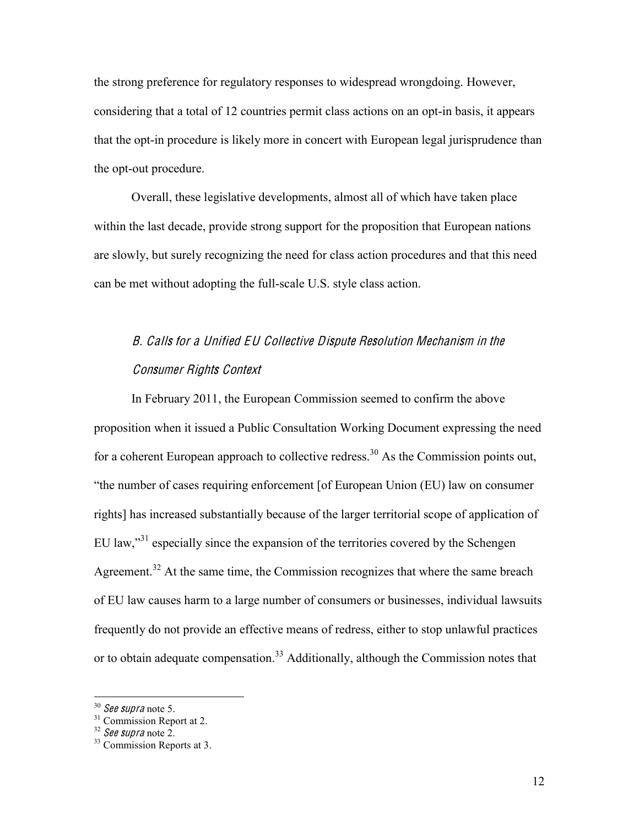the strong preference for regulatory responses to widespread wrongdoing. However, considering that a total of 12 countries permit class actions on an opt-in basis, it appears that the opt-in procedure is likely more in concert with European legal jurisprudence than the opt-out procedure.

Overall, these legislative developments, almost all of which have taken place within the last decade, provide strong support for the proposition that European nations are slowly, but surely recognizing the need for class action procedures and that this need can be met without adopting the full-scale U.S. style class action.

# B. Call<sup>s</sup> for <sup>a</sup> Unified EU Collectiv<sup>e</sup> Disput<sup>e</sup> Resolution Mechanis<sup>m</sup> in th<sup>e</sup> Consume<sup>r</sup> Rights Context

In February 2011, the European Commission seemed to confirm the above proposition when it issued a Public Consultation Working Document expressing the need for a coherent European approach to collective redress.<sup>30</sup> As the Commission points out, "the number of cases requiring enforcement [of European Union (EU) law on consumer rights] has increased substantially because of the larger territorial scope of application of  $EU$  law,<sup> $31$ </sup> especially since the expansion of the territories covered by the Schengen Agreement.<sup>32</sup> At the same time, the Commission recognizes that where the same breach of EU law causes harm to a large number of consumers or businesses, individual lawsuits frequently do not provide an effective means of redress, either to stop unlawful practices or to obtain adequate compensation.<sup>33</sup> Additionally, although the Commission notes that

<sup>&</sup>lt;sup>30</sup> See supra note 5.<br><sup>31</sup> Commission Report at 2.<br><sup>32</sup> See supra note 2.<br><sup>33</sup> Commission Reports at 3.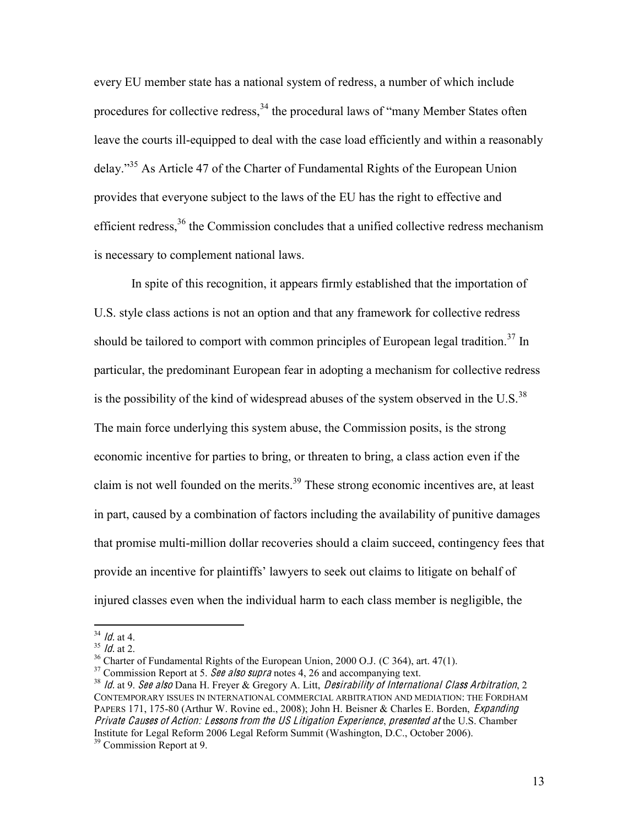every EU member state has a national system of redress, a number of which include procedures for collective redress,  $34$  the procedural laws of "many Member States often leave the courts ill-equipped to deal with the case load efficiently and within a reasonably delay."<sup>35</sup> As Article 47 of the Charter of Fundamental Rights of the European Union provides that everyone subject to the laws of the EU has the right to effective and efficient redress,<sup>36</sup> the Commission concludes that a unified collective redress mechanism is necessary to complement national laws.

In spite of this recognition, it appears firmly established that the importation of U.S. style class actions is not an option and that any framework for collective redress should be tailored to comport with common principles of European legal tradition.<sup>37</sup> In particular, the predominant European fear in adopting a mechanism for collective redress is the possibility of the kind of widespread abuses of the system observed in the U.S.<sup>38</sup> The main force underlying this system abuse, the Commission posits, is the strong economic incentive for parties to bring, or threaten to bring, a class action even if the claim is not well founded on the merits.<sup>39</sup> These strong economic incentives are, at least in part, caused by a combination of factors including the availability of punitive damages that promise multi-million dollar recoveries should a claim succeed, contingency fees that provide an incentive for plaintiffs' lawyers to seek out claims to litigate on behalf of injured classes even when the individual harm to each class member is negligible, the

<sup>&</sup>lt;sup>34</sup> *ld.* at 4.<br><sup>35</sup> *ld.* at 2.<br><sup>36</sup> Charter of Fundamental Rights of the European Union, 2000 O.J. (C 364), art. 47(1).<br><sup>37</sup> Commission Report at 5. *See also supra* notes 4, 26 and accompanying text.<br><sup>38</sup> *ld.* at 9. CONTEMPORARY ISSUES IN INTERNATIONAL COMMERCIAL ARBITRATION AND MEDIATION: THE FORDHAM PAPERS 171, 175-80 (Arthur W. Rovine ed., 2008); John H. Beisner & Charles E. Borden, *Expanding* Privat<sup>e</sup> Cause<sup>s</sup> <sup>o</sup>f Action: Lesson<sup>s</sup> fro<sup>m</sup> <sup>t</sup>h<sup>e</sup> US Litigation Experience, presented <sup>a</sup><sup>t</sup> the U.S. Chamber Institute for Legal Reform 2006 Legal Reform Summit (Washington, D.C., October 2006). <sup>39</sup> Commission Report at 9.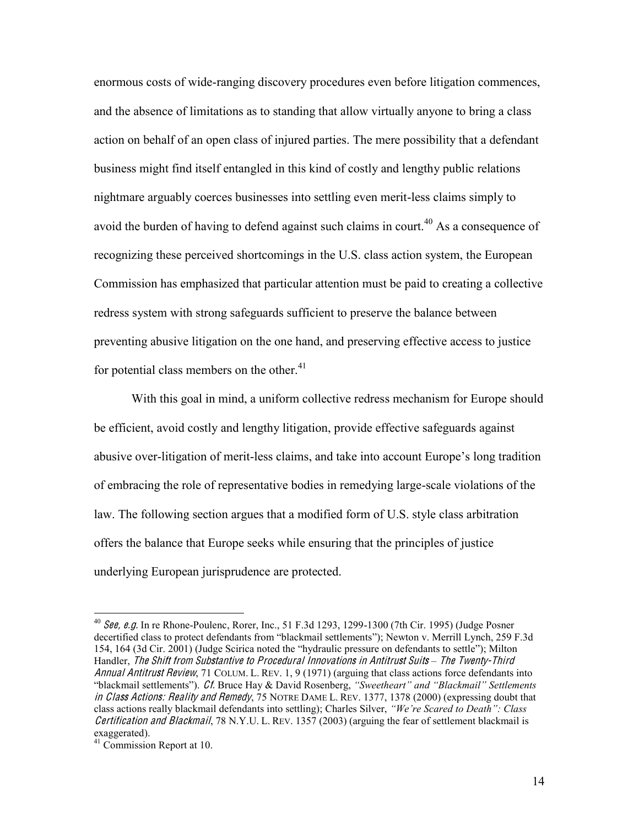enormous costs of wide-ranging discovery procedures even before litigation commences, and the absence of limitations as to standing that allow virtually anyone to bring a class action on behalf of an open class of injured parties. The mere possibility that a defendant business might find itself entangled in this kind of costly and lengthy public relations nightmare arguably coerces businesses into settling even merit-less claims simply to avoid the burden of having to defend against such claims in court.<sup>40</sup> As a consequence of recognizing these perceived shortcomings in the U.S. class action system, the European Commission has emphasized that particular attention must be paid to creating a collective redress system with strong safeguards sufficient to preserve the balance between preventing abusive litigation on the one hand, and preserving effective access to justice for potential class members on the other.<sup>41</sup>

With this goal in mind, a uniform collective redress mechanism for Europe should be efficient, avoid costly and lengthy litigation, provide effective safeguards against abusive over-litigation of merit-less claims, and take into account Europe's long tradition of embracing the role of representative bodies in remedying large-scale violations of the law. The following section argues that a modified form of U.S. style class arbitration offers the balance that Europe seeks while ensuring that the principles of justice underlying European jurisprudence are protected.

 <sup>40</sup> <sup>S</sup>ee, <sup>e</sup>.g. In re Rhone-Poulenc, Rorer, Inc., 51 F.3d 1293, 1299-1300 (7th Cir. 1995) (Judge Posner decertified class to protect defendants from "blackmail settlements"); Newton v. Merrill Lynch, 259 F.3d 154, 164 (3d Cir. 2001) (Judge Scirica noted the "hydraulic pressure on defendants to settle"); Milton Handler, Th<sup>e</sup> Shift fro<sup>m</sup> Substantiv<sup>e</sup> <sup>t</sup><sup>o</sup> Procedural Innovation<sup>s</sup> in Antitrust Suits *±* Th<sup>e</sup> Twenty-Third Annual Antitrust Review, 71 COLUM. L. REV. 1, 9 (1971) (arguing that class actions force defendants into "blackmail settlements"). Cf. Bruce Hay & David Rosenberg, "Sweetheart" and "Blackmail" Settlements in Class Actions: Reality and Rem<sup>e</sup>dy, 75 NOTRE DAME L. REV. 1377, 1378 (2000) (expressing doubt that class actions really blackmail defendants into settling); Charles Silver, *"We're Scared to Death": Class* Certification and Blackmail, 78 N.Y.U. L. REV. 1357 (2003) (arguing the fear of settlement blackmail is exaggerated). 41 Commission Report at 10.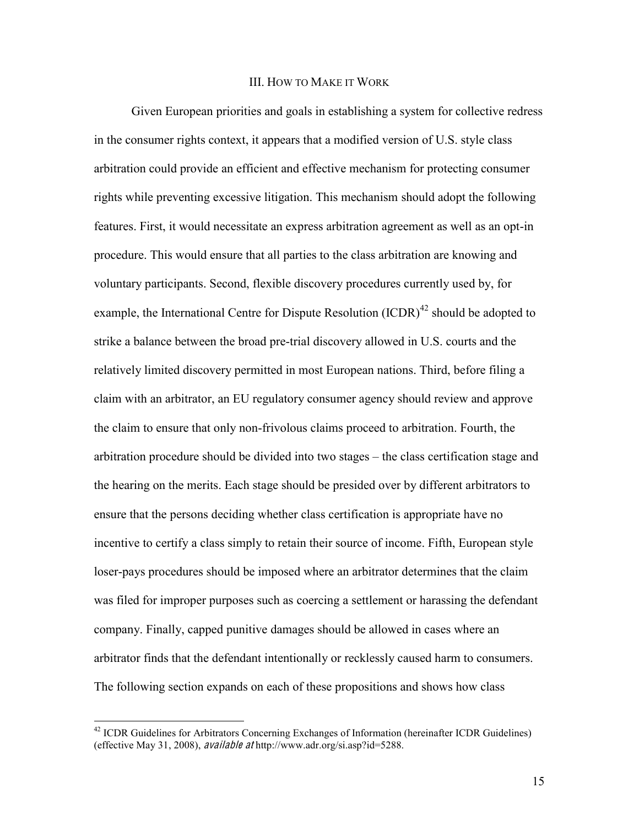#### III. HOW TO MAKE IT WORK

Given European priorities and goals in establishing a system for collective redress in the consumer rights context, it appears that a modified version of U.S. style class arbitration could provide an efficient and effective mechanism for protecting consumer rights while preventing excessive litigation. This mechanism should adopt the following features. First, it would necessitate an express arbitration agreement as well as an opt-in procedure. This would ensure that all parties to the class arbitration are knowing and voluntary participants. Second, flexible discovery procedures currently used by, for example, the International Centre for Dispute Resolution  $(ICDR)^{42}$  should be adopted to strike a balance between the broad pre-trial discovery allowed in U.S. courts and the relatively limited discovery permitted in most European nations. Third, before filing a claim with an arbitrator, an EU regulatory consumer agency should review and approve the claim to ensure that only non-frivolous claims proceed to arbitration. Fourth, the arbitration procedure should be divided into two stages – the class certification stage and the hearing on the merits. Each stage should be presided over by different arbitrators to ensure that the persons deciding whether class certification is appropriate have no incentive to certify a class simply to retain their source of income. Fifth, European style loser-pays procedures should be imposed where an arbitrator determines that the claim was filed for improper purposes such as coercing a settlement or harassing the defendant company. Finally, capped punitive damages should be allowed in cases where an arbitrator finds that the defendant intentionally or recklessly caused harm to consumers. The following section expands on each of these propositions and shows how class

<sup>&</sup>lt;sup>42</sup> ICDR Guidelines for Arbitrators Concerning Exchanges of Information (hereinafter ICDR Guidelines) (effective May 31, 2008), availabl<sup>e</sup> <sup>a</sup><sup>t</sup> http://www.adr.org/si.asp?id=5288.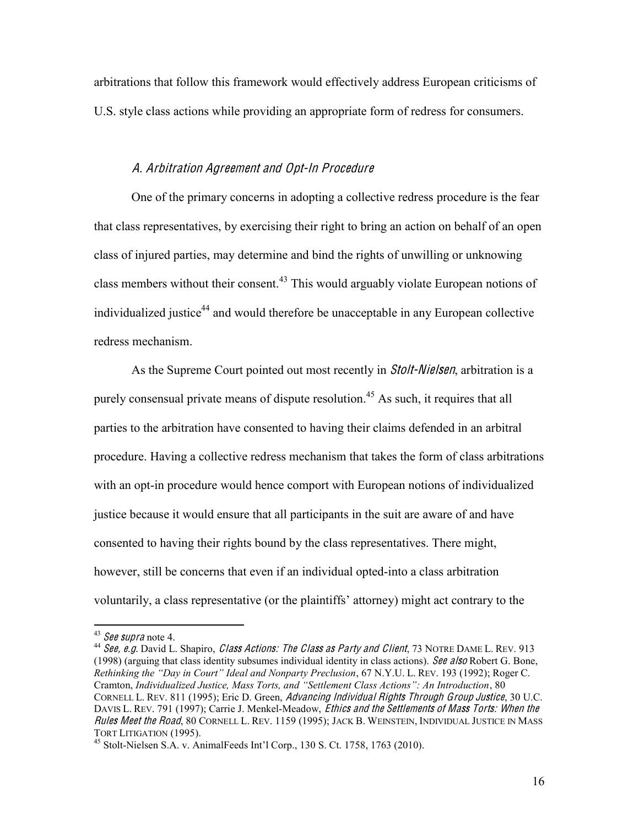arbitrations that follow this framework would effectively address European criticisms of U.S. style class actions while providing an appropriate form of redress for consumers.

# A. Arbitration Agreement and Opt-In Procedur<sup>e</sup>

One of the primary concerns in adopting a collective redress procedure is the fear that class representatives, by exercising their right to bring an action on behalf of an open class of injured parties, may determine and bind the rights of unwilling or unknowing class members without their consent.<sup>43</sup> This would arguably violate European notions of individualized justice<sup>44</sup> and would therefore be unacceptable in any European collective redress mechanism.

As the Supreme Court pointed out most recently in *Stolt-Nielsen*, arbitration is a purely consensual private means of dispute resolution.<sup>45</sup> As such, it requires that all parties to the arbitration have consented to having their claims defended in an arbitral procedure. Having a collective redress mechanism that takes the form of class arbitrations with an opt-in procedure would hence comport with European notions of individualized justice because it would ensure that all participants in the suit are aware of and have consented to having their rights bound by the class representatives. There might, however, still be concerns that even if an individual opted-into a class arbitration voluntarily, a class representative (or the plaintiffs' attorney) might act contrary to the

<sup>&</sup>lt;sup>43</sup> See supra note 4.<br><sup>44</sup> See, e.g. David L. Shapiro, *Class Actions: The Class as Party and Client*, 73 NOTRE DAME L. REV. 913 (1998) (arguing that class identity subsumes individual identity in class actions). See also Robert G. Bone, *Rethinking the "Day in Court" Ideal and Nonparty Preclusion, 67 N.Y.U. L. REV. 193 (1992); Roger C.* Cramton, *Individualized Justice, Mass Torts, and "Settlement Class Actions": An Introduction*, 80 CORNELL L. REV. 811 (1995); Eric D. Green, Advancing Individual Rights Through Group Justice, 30 U.C. DAVIS L. REV. 791 (1997); Carrie J. Menkel-Meadow, *Ethics and the Settlements of Mass Torts: When the Rules Meet the Road*, 80 Cornell L. Rev. 1159 (1995); Jack B. Weinstein, Individual Justice in Mass<br>Tort Litigation (1995).

 $45$  Stolt-Nielsen S.A. v. AnimalFeeds Int'l Corp., 130 S. Ct. 1758, 1763 (2010).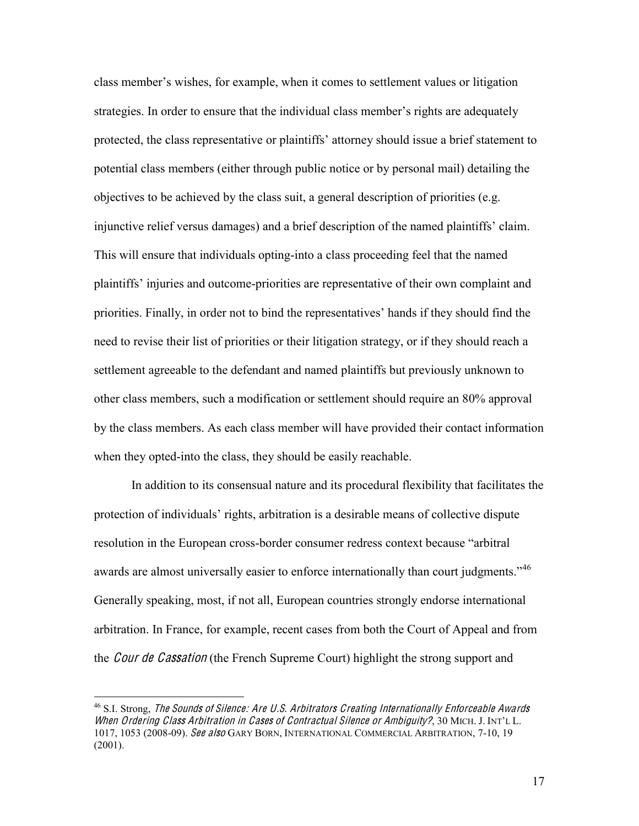class member's wishes, for example, when it comes to settlement values or litigation strategies. In order to ensure that the individual class member's rights are adequately protected, the class representative or plaintiffs' attorney should issue a brief statement to potential class members (either through public notice or by personal mail) detailing the objectives to be achieved by the class suit, a general description of priorities (e.g. injunctive relief versus damages) and a brief description of the named plaintiffs' claim. This will ensure that individuals opting-into a class proceeding feel that the named plaintiffs' injuries and outcome-priorities are representative of their own complaint and priorities. Finally, in order not to bind the representatives' hands if they should find the need to revise their list of priorities or their litigation strategy, or if they should reach a settlement agreeable to the defendant and named plaintiffs but previously unknown to other class members, such a modification or settlement should require an 80% approval by the class members. As each class member will have provided their contact information when they opted-into the class, they should be easily reachable.

In addition to its consensual nature and its procedural flexibility that facilitates the protection of individuals' rights, arbitration is a desirable means of collective dispute resolution in the European cross-border consumer redress context because "arbitral" awards are almost universally easier to enforce internationally than court judgments.<sup>46</sup> Generally speaking, most, if not all, European countries strongly endorse international arbitration. In France, for example, recent cases from both the Court of Appeal and from the *Cour de Cassation* (the French Supreme Court) highlight the strong support and

<sup>&</sup>lt;sup>46</sup> S.I. Strong, *The Sounds of Silence: Are U.S. Arbitrators Creating Internationally Enforceable Awards* When Ordering Class Arbitration in Cases of Contractual Silence or Ambiguity?, 30 MICH. J. INT'L L. 1017, 1053 (2008-09). See als<sup>o</sup> GARY BORN, INTERNATIONAL COMMERCIAL ARBITRATION, 7-10, 19  $(2001)$ .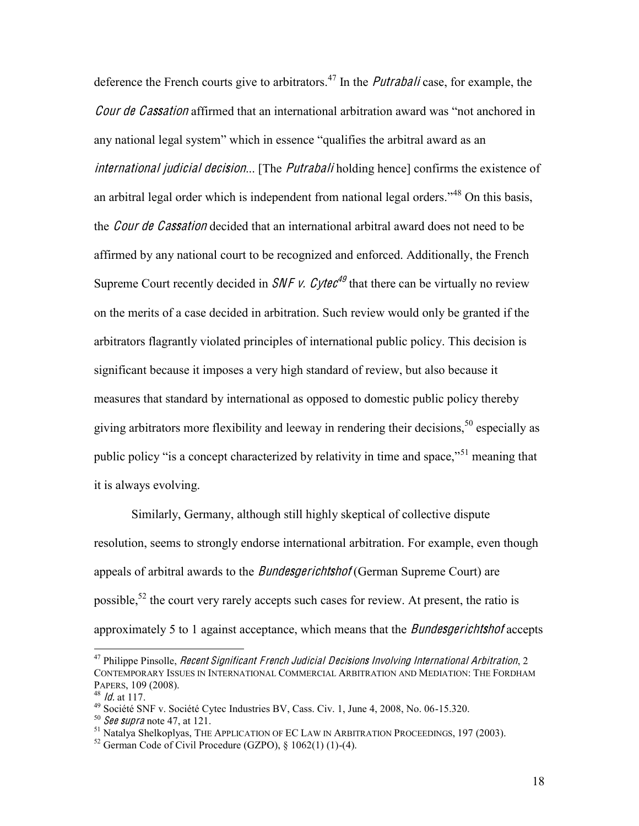deference the French courts give to arbitrators.<sup>47</sup> In the *Putrabali* case, for example, the Cour de Cassation affirmed that an international arbitration award was "not anchored in any national legal system" which in essence "qualifies the arbitral award as an international judicial decision... [The *Putrabali* holding hence] confirms the existence of an arbitral legal order which is independent from national legal orders.<sup> $348$ </sup> On this basis, the *Cour de Cassation* decided that an international arbitral award does not need to be affirmed by any national court to be recognized and enforced. Additionally, the French Supreme Court recently decided in *SNF v. Cytec*<sup>49</sup> that there can be virtually no review on the merits of a case decided in arbitration. Such review would only be granted if the arbitrators flagrantly violated principles of international public policy. This decision is significant because it imposes a very high standard of review, but also because it measures that standard by international as opposed to domestic public policy thereby giving arbitrators more flexibility and leeway in rendering their decisions,  $50$  especially as public policy "is a concept characterized by relativity in time and space,"<sup>51</sup> meaning that it is always evolving.

Similarly, Germany, although still highly skeptical of collective dispute resolution, seems to strongly endorse international arbitration. For example, even though appeals of arbitral awards to the *Bundesgerichtshof* (German Supreme Court) are possible,<sup>52</sup> the court very rarely accepts such cases for review. At present, the ratio is approximately 5 to 1 against acceptance, which means that the *Bundesgerichtshof* accepts

 $47$  Philippe Pinsolle, *Recent Significant French Judicial Decisions Involving International Arbitration*, 2 CONTEMPORARY ISSUES IN INTERNATIONAL COMMERCIAL ARBITRATION AND MEDIATION: THE FORDHAM

<sup>&</sup>lt;sup>48</sup> *ld.* at 117.<br>
<sup>49</sup> Société SNF v. Société Cytec Industries BV, Cass. Civ. 1, June 4, 2008, No. 06-15.320.<br>
<sup>50</sup> See supra note 47, at 121.<br>
<sup>51</sup> Natalya Shelkoplyas, THE APPLICATION OF EC LAW IN ARBITRATION PROCEEDI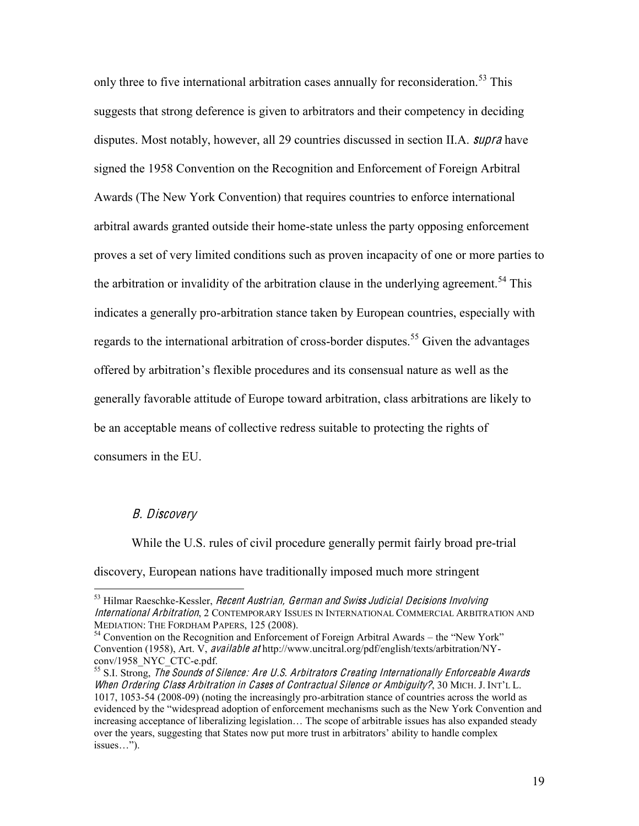only three to five international arbitration cases annually for reconsideration.<sup>53</sup> This suggests that strong deference is given to arbitrators and their competency in deciding disputes. Most notably, however, all 29 countries discussed in section II.A. *supra* have signed the 1958 Convention on the Recognition and Enforcement of Foreign Arbitral Awards (The New York Convention) that requires countries to enforce international arbitral awards granted outside their home-state unless the party opposing enforcement proves a set of very limited conditions such as proven incapacity of one or more parties to the arbitration or invalidity of the arbitration clause in the underlying agreement.<sup>54</sup> This indicates a generally pro-arbitration stance taken by European countries, especially with regards to the international arbitration of cross-border disputes.<sup>55</sup> Given the advantages offered by arbitration's flexible procedures and its consensual nature as well as the generally favorable attitude of Europe toward arbitration, class arbitrations are likely to be an acceptable means of collective redress suitable to protecting the rights of consumers in the EU.

### B. Discovery

While the U.S. rules of civil procedure generally permit fairly broad pre-trial discovery, European nations have traditionally imposed much more stringent

 $53$  Hilmar Raeschke-Kessler, *Recent Austrian, German and Swiss Judicial Decisions Involving* International Arbitration, 2 CONTEMPORARY ISSUES IN INTERNATIONAL COMMERCIAL ARBITRATION AND MEDIATION: THE FORDHAM PAPERS, 125 (2008).<br><sup>54</sup> Convention on the Recognition and Enforcement of Foreign Arbitral Awards – the "New York"

Convention (1958), Art. V, available at http://www.uncitral.org/pdf/english/texts/arbitration/NY-conv/1958 NYC CTC-e.pdf.

 $^{55}$  S.I. Strong, The Sounds of Silence: Are U.S. Arbitrators Creating Internationally Enforceable Awards When Ordering Class Arbitration in Cases of Contractual Silence or Ambiguity?, 30 MICH. J. INT'L L. 1017, 1053-54 (2008-09) (noting the increasingly pro-arbitration stance of countries across the world as evidenced by the "widespread adoption of enforcement mechanisms such as the New York Convention and increasing acceptance of liberalizing legislation... The scope of arbitrable issues has also expanded steady over the years, suggesting that States now put more trust in arbitrators' ability to handle complex  $issues...$ " $).$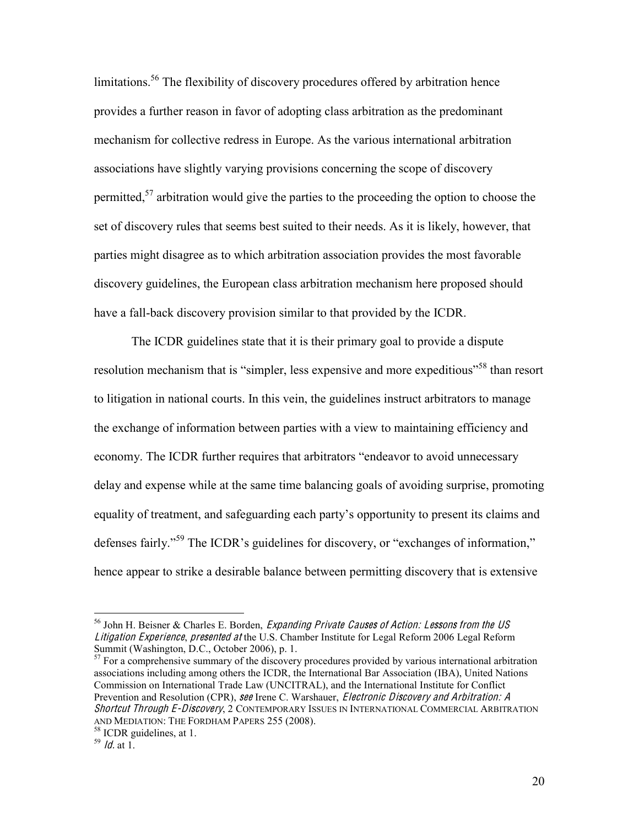limitations.<sup>56</sup> The flexibility of discovery procedures offered by arbitration hence provides a further reason in favor of adopting class arbitration as the predominant mechanism for collective redress in Europe. As the various international arbitration associations have slightly varying provisions concerning the scope of discovery permitted,<sup>57</sup> arbitration would give the parties to the proceeding the option to choose the set of discovery rules that seems best suited to their needs. As it is likely, however, that parties might disagree as to which arbitration association provides the most favorable discovery guidelines, the European class arbitration mechanism here proposed should have a fall-back discovery provision similar to that provided by the ICDR.

The ICDR guidelines state that it is their primary goal to provide a dispute resolution mechanism that is "simpler, less expensive and more expeditious"<sup>58</sup> than resort to litigation in national courts. In this vein, the guidelines instruct arbitrators to manage the exchange of information between parties with a view to maintaining efficiency and economy. The ICDR further requires that arbitrators "endeavor to avoid unnecessary delay and expense while at the same time balancing goals of avoiding surprise, promoting equality of treatment, and safeguarding each party's opportunity to present its claims and defenses fairly."<sup>59</sup> The ICDR's guidelines for discovery, or "exchanges of information," hence appear to strike a desirable balance between permitting discovery that is extensive

 $56$  John H. Beisner & Charles E. Borden, *Expanding Private Causes of Action: Lessons from the US* Litigation Experience, presented <sup>a</sup><sup>t</sup> the U.S. Chamber Institute for Legal Reform 2006 Legal Reform Summit (Washington, D.C., October 2006), p. 1.

 $57$  For a comprehensive summary of the discovery procedures provided by various international arbitration associations including among others the ICDR, the International Bar Association (IBA), United Nations Commission on International Trade Law (UNCITRAL), and the International Institute for Conflict Prevention and Resolution (CPR), see Irene C. Warshauer, *Electronic Discovery and Arbitration: A* Shortcut Through E-Discovery, 2 CONTEMPORARY ISSUES IN INTERNATIONAL COMMERCIAL ARBITRATION AND MEDIATION: THE FORDHAM PAPERS 255 (2008).<br><sup>58</sup> ICDR guidelines, at 1.<br><sup>59</sup> *Id.* at 1.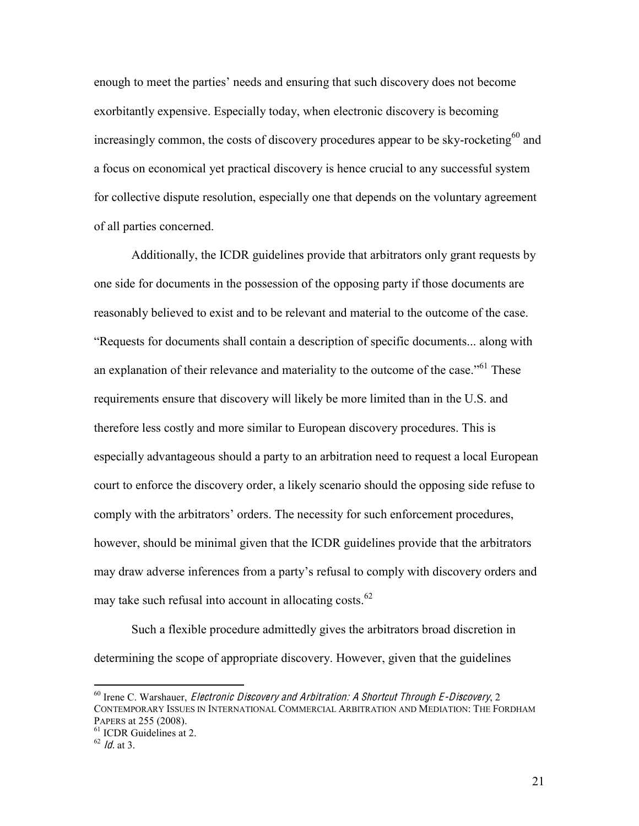enough to meet the parties' needs and ensuring that such discovery does not become exorbitantly expensive. Especially today, when electronic discovery is becoming increasingly common, the costs of discovery procedures appear to be sky-rocketing<sup>60</sup> and a focus on economical yet practical discovery is hence crucial to any successful system for collective dispute resolution, especially one that depends on the voluntary agreement of all parties concerned.

Additionally, the ICDR guidelines provide that arbitrators only grant requests by one side for documents in the possession of the opposing party if those documents are reasonably believed to exist and to be relevant and material to the outcome of the case. "Requests for documents shall contain a description of specific documents... along with an explanation of their relevance and materiality to the outcome of the case."<sup>61</sup> These requirements ensure that discovery will likely be more limited than in the U.S. and therefore less costly and more similar to European discovery procedures. This is especially advantageous should a party to an arbitration need to request a local European court to enforce the discovery order, a likely scenario should the opposing side refuse to comply with the arbitrators' orders. The necessity for such enforcement procedures, however, should be minimal given that the ICDR guidelines provide that the arbitrators may draw adverse inferences from a party's refusal to comply with discovery orders and may take such refusal into account in allocating costs.<sup>62</sup>

Such a flexible procedure admittedly gives the arbitrators broad discretion in determining the scope of appropriate discovery. However, given that the guidelines

 $60$  Irene C. Warshauer, *Electronic Discovery and Arbitration: A Shortcut Through E-Discovery*, 2 CONTEMPORARY ISSUES IN INTERNATIONAL COMMERCIAL ARBITRATION AND MEDIATION: THE FORDHAM PAPERS at 255 (2008).<br><sup>61</sup> ICDR Guidelines at 2.<br><sup>62</sup> *Id.* at 3.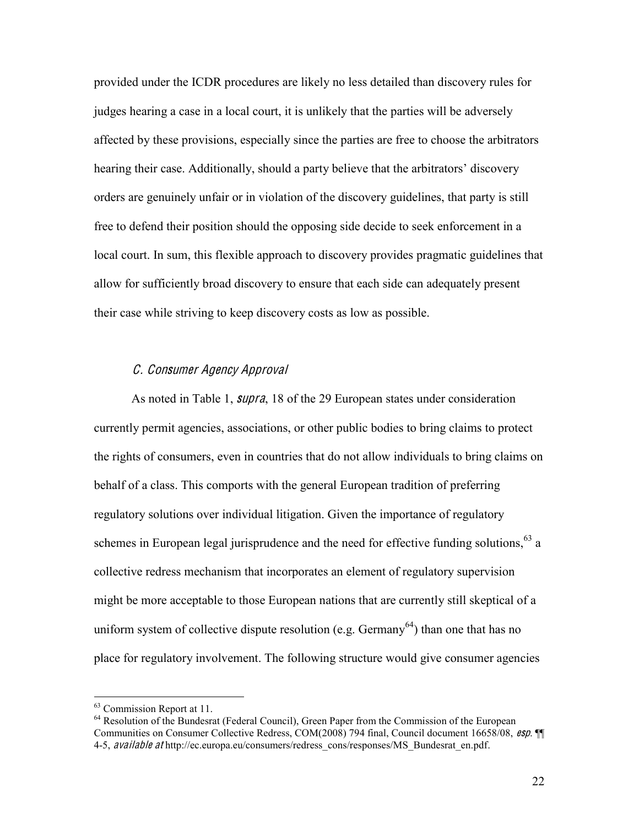provided under the ICDR procedures are likely no less detailed than discovery rules for judges hearing a case in a local court, it is unlikely that the parties will be adversely affected by these provisions, especially since the parties are free to choose the arbitrators hearing their case. Additionally, should a party believe that the arbitrators' discovery orders are genuinely unfair or in violation of the discovery guidelines, that party is still free to defend their position should the opposing side decide to seek enforcement in a local court. In sum, this flexible approach to discovery provides pragmatic guidelines that allow for sufficiently broad discovery to ensure that each side can adequately present their case while striving to keep discovery costs as low as possible.

## C. Consume<sup>r</sup> Ag<sup>e</sup>ncy Approval

As noted in Table 1, *supra*, 18 of the 29 European states under consideration currently permit agencies, associations, or other public bodies to bring claims to protect the rights of consumers, even in countries that do not allow individuals to bring claims on behalf of a class. This comports with the general European tradition of preferring regulatory solutions over individual litigation. Given the importance of regulatory schemes in European legal jurisprudence and the need for effective funding solutions,  $63$  a collective redress mechanism that incorporates an element of regulatory supervision might be more acceptable to those European nations that are currently still skeptical of a uniform system of collective dispute resolution (e.g.  $Germany<sup>64</sup>$ ) than one that has no place for regulatory involvement. The following structure would give consumer agencies

 $63$  Commission Report at 11.<br> $64$  Resolution of the Bundesrat (Federal Council), Green Paper from the Commission of the European Communities on Consumer Collective Redress, COM(2008) 794 final, Council document 16658/08, esp. ¶¶ 4-5, *available at* http://ec.europa.eu/consumers/redress\_cons/responses/MS\_Bundesrat\_en.pdf.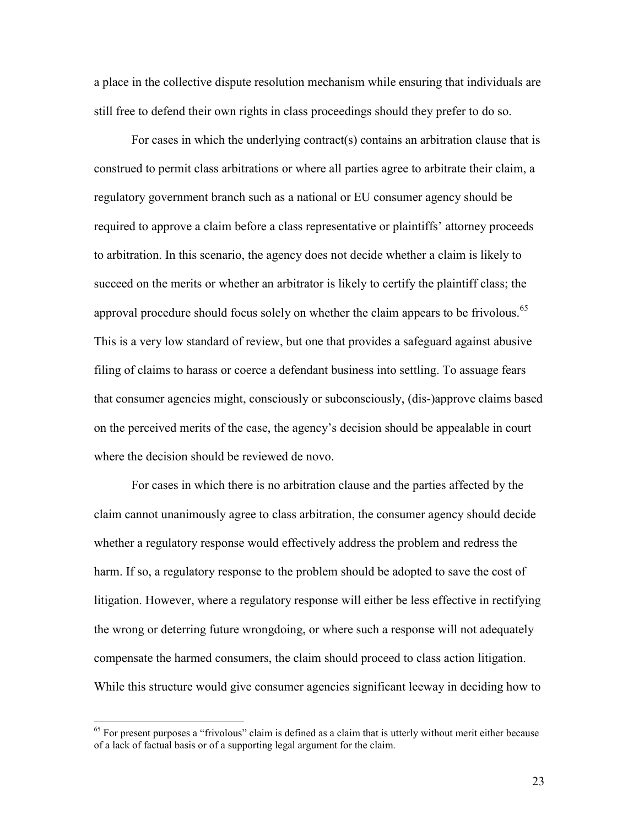a place in the collective dispute resolution mechanism while ensuring that individuals are still free to defend their own rights in class proceedings should they prefer to do so.

For cases in which the underlying contract(s) contains an arbitration clause that is construed to permit class arbitrations or where all parties agree to arbitrate their claim, a regulatory government branch such as a national or EU consumer agency should be required to approve a claim before a class representative or plaintiffs' attorney proceeds to arbitration. In this scenario, the agency does not decide whether a claim is likely to succeed on the merits or whether an arbitrator is likely to certify the plaintiff class; the approval procedure should focus solely on whether the claim appears to be frivolous.<sup>65</sup> This is a very low standard of review, but one that provides a safeguard against abusive filing of claims to harass or coerce a defendant business into settling. To assuage fears that consumer agencies might, consciously or subconsciously, (dis-)approve claims based on the perceived merits of the case, the agency's decision should be appealable in court where the decision should be reviewed de novo.

For cases in which there is no arbitration clause and the parties affected by the claim cannot unanimously agree to class arbitration, the consumer agency should decide whether a regulatory response would effectively address the problem and redress the harm. If so, a regulatory response to the problem should be adopted to save the cost of litigation. However, where a regulatory response will either be less effective in rectifying the wrong or deterring future wrongdoing, or where such a response will not adequately compensate the harmed consumers, the claim should proceed to class action litigation. While this structure would give consumer agencies significant leeway in deciding how to

23

 $65$  For present purposes a "frivolous" claim is defined as a claim that is utterly without merit either because of a lack of factual basis or of a supporting legal argument for the claim.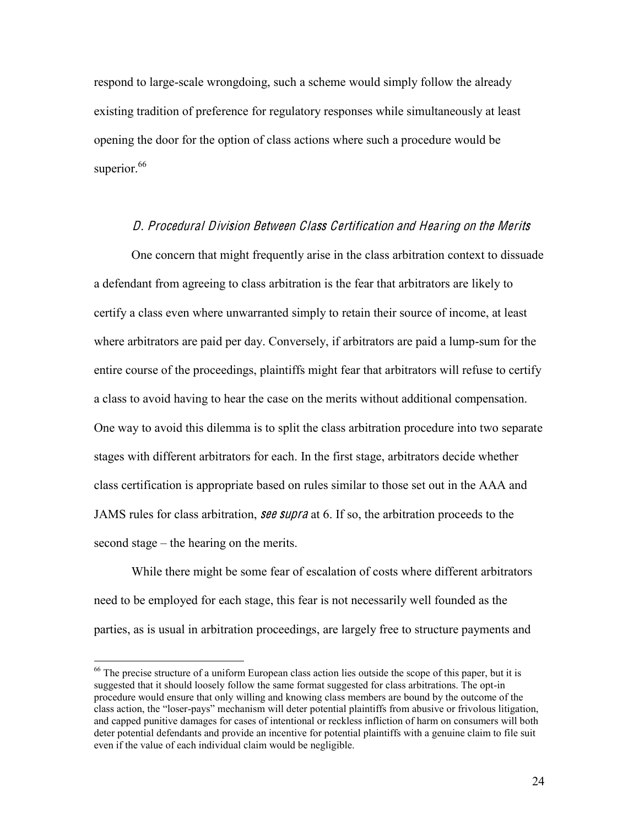respond to large-scale wrongdoing, such a scheme would simply follow the already existing tradition of preference for regulatory responses while simultaneously at least opening the door for the option of class actions where such a procedure would be superior.<sup>66</sup>

# D. Procedural Division Betwee<sup>n</sup> Class Certification and Hearing on th<sup>e</sup> Merits

One concern that might frequently arise in the class arbitration context to dissuade a defendant from agreeing to class arbitration is the fear that arbitrators are likely to certify a class even where unwarranted simply to retain their source of income, at least where arbitrators are paid per day. Conversely, if arbitrators are paid a lump-sum for the entire course of the proceedings, plaintiffs might fear that arbitrators will refuse to certify a class to avoid having to hear the case on the merits without additional compensation. One way to avoid this dilemma is to split the class arbitration procedure into two separate stages with different arbitrators for each. In the first stage, arbitrators decide whether class certification is appropriate based on rules similar to those set out in the AAA and JAMS rules for class arbitration, **see supra** at 6. If so, the arbitration proceeds to the second stage  $-$  the hearing on the merits.

While there might be some fear of escalation of costs where different arbitrators need to be employed for each stage, this fear is not necessarily well founded as the parties, as is usual in arbitration proceedings, are largely free to structure payments and

<sup>&</sup>lt;sup>66</sup> The precise structure of a uniform European class action lies outside the scope of this paper, but it is suggested that it should loosely follow the same format suggested for class arbitrations. The opt-in procedure would ensure that only willing and knowing class members are bound by the outcome of the class action, the "loser-pays" mechanism will deter potential plaintiffs from abusive or frivolous litigation, and capped punitive damages for cases of intentional or reckless infliction of harm on consumers will both deter potential defendants and provide an incentive for potential plaintiffs with a genuine claim to file suit even if the value of each individual claim would be negligible.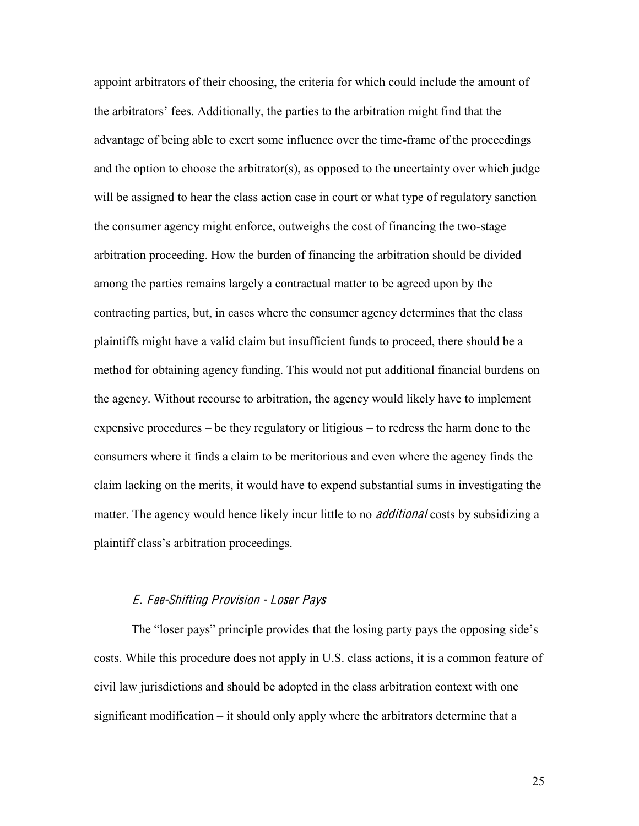appoint arbitrators of their choosing, the criteria for which could include the amount of the arbitrators' fees. Additionally, the parties to the arbitration might find that the advantage of being able to exert some influence over the time-frame of the proceedings and the option to choose the arbitrator(s), as opposed to the uncertainty over which judge will be assigned to hear the class action case in court or what type of regulatory sanction the consumer agency might enforce, outweighs the cost of financing the two-stage arbitration proceeding. How the burden of financing the arbitration should be divided among the parties remains largely a contractual matter to be agreed upon by the contracting parties, but, in cases where the consumer agency determines that the class plaintiffs might have a valid claim but insufficient funds to proceed, there should be a method for obtaining agency funding. This would not put additional financial burdens on the agency. Without recourse to arbitration, the agency would likely have to implement expensive procedures  $-\mathbf{b}$  be they regulatory or litigious  $-\mathbf{t}$  or redress the harm done to the consumers where it finds a claim to be meritorious and even where the agency finds the claim lacking on the merits, it would have to expend substantial sums in investigating the matter. The agency would hence likely incur little to no *additional* costs by subsidizing a plaintiff class's arbitration proceedings.

#### E. Fee-Shifting Provision - Lose<sup>r</sup> Pay<sup>s</sup>

The "loser pays" principle provides that the losing party pays the opposing side's costs. While this procedure does not apply in U.S. class actions, it is a common feature of civil law jurisdictions and should be adopted in the class arbitration context with one significant modification  $-$  it should only apply where the arbitrators determine that a

25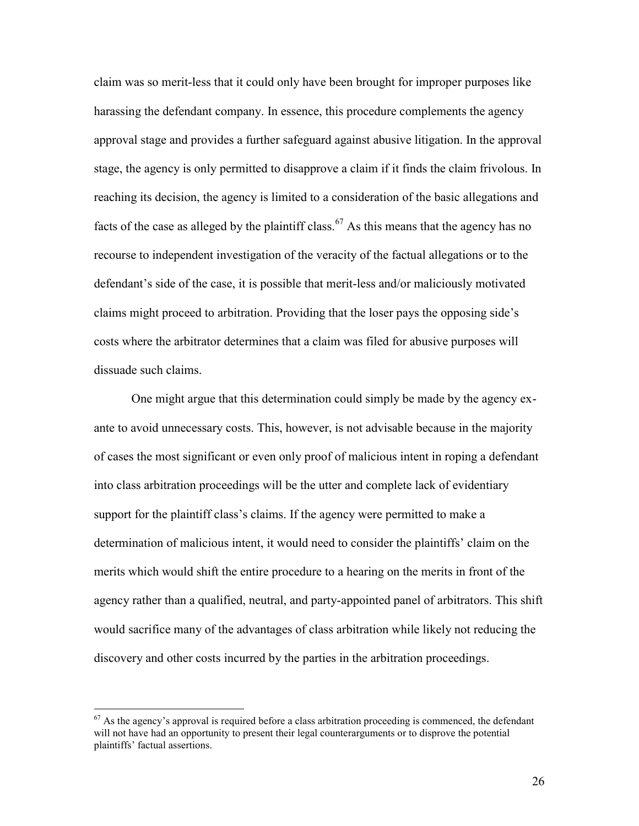claim was so merit-less that it could only have been brought for improper purposes like harassing the defendant company. In essence, this procedure complements the agency approval stage and provides a further safeguard against abusive litigation. In the approval stage, the agency is only permitted to disapprove a claim if it finds the claim frivolous. In reaching its decision, the agency is limited to a consideration of the basic allegations and facts of the case as alleged by the plaintiff class.<sup>67</sup> As this means that the agency has no recourse to independent investigation of the veracity of the factual allegations or to the defendant's side of the case, it is possible that merit-less and/or maliciously motivated claims might proceed to arbitration. Providing that the loser pays the opposing side's costs where the arbitrator determines that a claim was filed for abusive purposes will dissuade such claims.

One might argue that this determination could simply be made by the agency exante to avoid unnecessary costs. This, however, is not advisable because in the majority of cases the most significant or even only proof of malicious intent in roping a defendant into class arbitration proceedings will be the utter and complete lack of evidentiary support for the plaintiff class's claims. If the agency were permitted to make a determination of malicious intent, it would need to consider the plaintiffs' claim on the merits which would shift the entire procedure to a hearing on the merits in front of the agency rather than a qualified, neutral, and party-appointed panel of arbitrators. This shift would sacrifice many of the advantages of class arbitration while likely not reducing the discovery and other costs incurred by the parties in the arbitration proceedings.

 $67$  As the agency's approval is required before a class arbitration proceeding is commenced, the defendant will not have had an opportunity to present their legal counterarguments or to disprove the potential plaintiffs' factual assertions.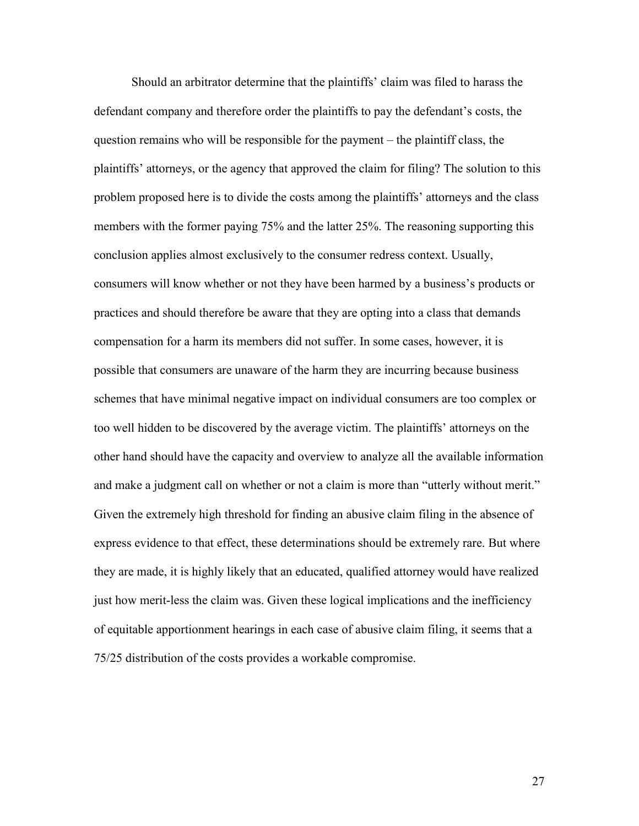Should an arbitrator determine that the plaintiffs' claim was filed to harass the defendant company and therefore order the plaintiffs to pay the defendant's costs, the question remains who will be responsible for the payment  $-$  the plaintiff class, the plaintiffs' attorneys, or the agency that approved the claim for filing? The solution to this problem proposed here is to divide the costs among the plaintiffs' attorneys and the class members with the former paying 75% and the latter 25%. The reasoning supporting this conclusion applies almost exclusively to the consumer redress context. Usually, consumers will know whether or not they have been harmed by a business's products or practices and should therefore be aware that they are opting into a class that demands compensation for a harm its members did not suffer. In some cases, however, it is possible that consumers are unaware of the harm they are incurring because business schemes that have minimal negative impact on individual consumers are too complex or too well hidden to be discovered by the average victim. The plaintiffs' attorneys on the other hand should have the capacity and overview to analyze all the available information and make a judgment call on whether or not a claim is more than "utterly without merit." Given the extremely high threshold for finding an abusive claim filing in the absence of express evidence to that effect, these determinations should be extremely rare. But where they are made, it is highly likely that an educated, qualified attorney would have realized just how merit-less the claim was. Given these logical implications and the inefficiency of equitable apportionment hearings in each case of abusive claim filing, it seems that a 75/25 distribution of the costs provides a workable compromise.

27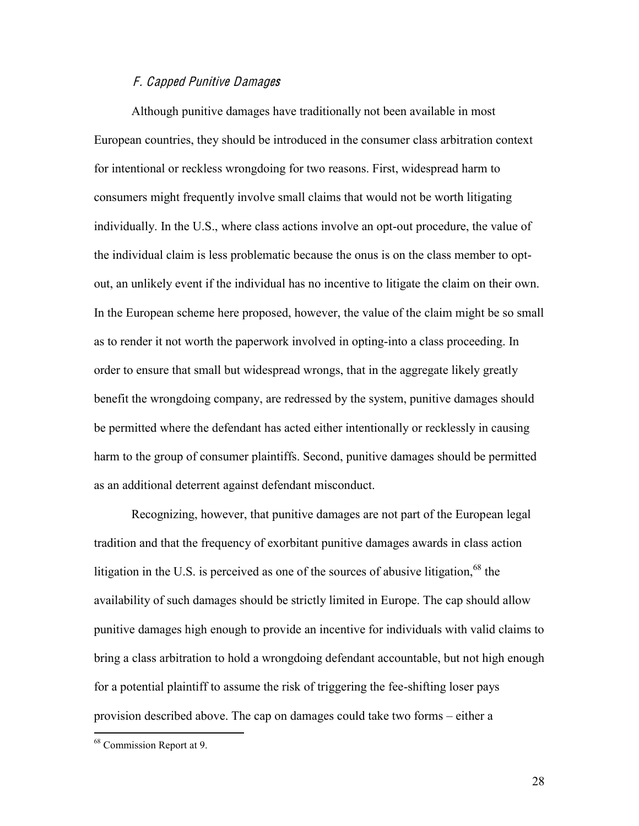## F. Capped Punitiv<sup>e</sup> Damage<sup>s</sup>

Although punitive damages have traditionally not been available in most European countries, they should be introduced in the consumer class arbitration context for intentional or reckless wrongdoing for two reasons. First, widespread harm to consumers might frequently involve small claims that would not be worth litigating individually. In the U.S., where class actions involve an opt-out procedure, the value of the individual claim is less problematic because the onus is on the class member to optout, an unlikely event if the individual has no incentive to litigate the claim on their own. In the European scheme here proposed, however, the value of the claim might be so small as to render it not worth the paperwork involved in opting-into a class proceeding. In order to ensure that small but widespread wrongs, that in the aggregate likely greatly benefit the wrongdoing company, are redressed by the system, punitive damages should be permitted where the defendant has acted either intentionally or recklessly in causing harm to the group of consumer plaintiffs. Second, punitive damages should be permitted as an additional deterrent against defendant misconduct.

Recognizing, however, that punitive damages are not part of the European legal tradition and that the frequency of exorbitant punitive damages awards in class action litigation in the U.S. is perceived as one of the sources of abusive litigation,  $68$  the availability of such damages should be strictly limited in Europe. The cap should allow punitive damages high enough to provide an incentive for individuals with valid claims to bring a class arbitration to hold a wrongdoing defendant accountable, but not high enough for a potential plaintiff to assume the risk of triggering the fee-shifting loser pays provision described above. The cap on damages could take two forms – either a

28

 <sup>68</sup> Commission Report at 9.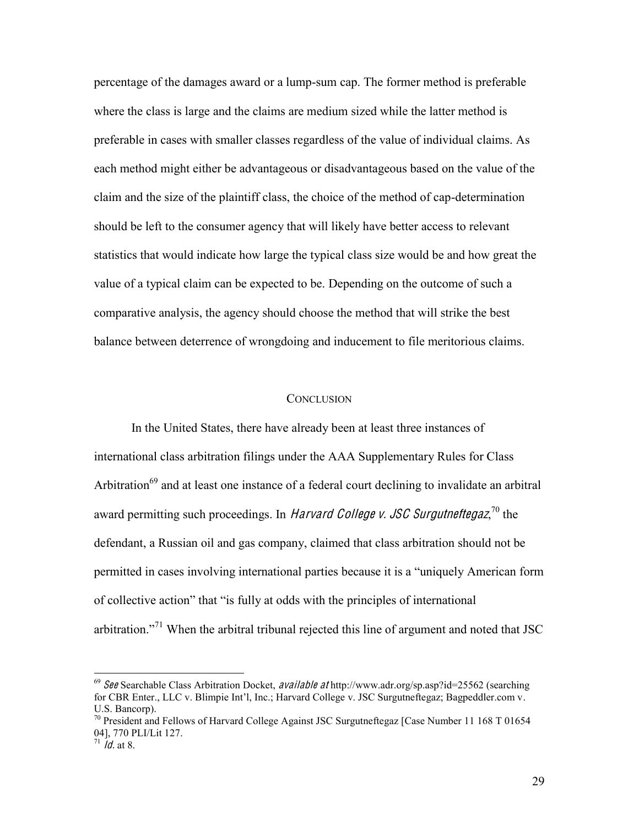percentage of the damages award or a lump-sum cap. The former method is preferable where the class is large and the claims are medium sized while the latter method is preferable in cases with smaller classes regardless of the value of individual claims. As each method might either be advantageous or disadvantageous based on the value of the claim and the size of the plaintiff class, the choice of the method of cap-determination should be left to the consumer agency that will likely have better access to relevant statistics that would indicate how large the typical class size would be and how great the value of a typical claim can be expected to be. Depending on the outcome of such a comparative analysis, the agency should choose the method that will strike the best balance between deterrence of wrongdoing and inducement to file meritorious claims.

#### **CONCLUSION**

In the United States, there have already been at least three instances of international class arbitration filings under the AAA Supplementary Rules for Class Arbitration<sup>69</sup> and at least one instance of a federal court declining to invalidate an arbitral award permitting such proceedings. In *Harvard College v. JSC Surgutneftegaz*,<sup>70</sup> the defendant, a Russian oil and gas company, claimed that class arbitration should not be permitted in cases involving international parties because it is a "uniquely American form of collective action" that "is fully at odds with the principles of international arbitration.<sup> $271$ </sup> When the arbitral tribunal rejected this line of argument and noted that JSC

<sup>&</sup>lt;sup>69</sup> See Searchable Class Arbitration Docket, *available at* http://www.adr.org/sp.asp?id=25562 (searching for CBR Enter., LLC v. Blimpie Int'l. Inc.; Harvard College v. JSC Surgutneftegaz; Bagpeddler.com v. U.S. Bancorp).

<sup>&</sup>lt;sup>70</sup> President and Fellows of Harvard College Against JSC Surgutneftegaz [Case Number 11 168 T 01654 04], 770 PLI/Lit 127.

 $71$  *Id.* at 8.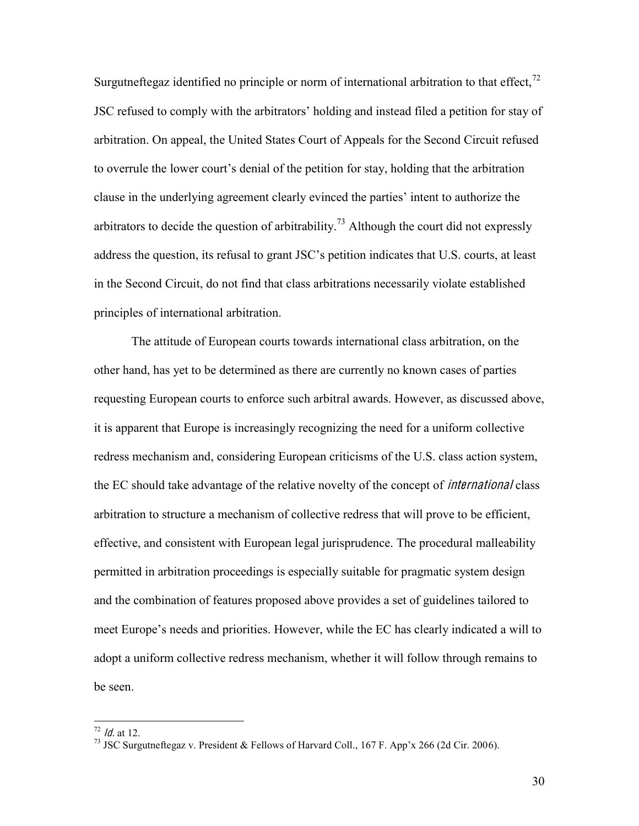Surgutneftegaz identified no principle or norm of international arbitration to that effect,  $^{72}$ JSC refused to comply with the arbitrators' holding and instead filed a petition for stay of arbitration. On appeal, the United States Court of Appeals for the Second Circuit refused to overrule the lower court's denial of the petition for stay, holding that the arbitration clause in the underlying agreement clearly evinced the parties' intent to authorize the arbitrators to decide the question of arbitrability.<sup>73</sup> Although the court did not expressly address the question, its refusal to grant JSC's petition indicates that U.S. courts, at least in the Second Circuit, do not find that class arbitrations necessarily violate established principles of international arbitration.

The attitude of European courts towards international class arbitration, on the other hand, has yet to be determined as there are currently no known cases of parties requesting European courts to enforce such arbitral awards. However, as discussed above, it is apparent that Europe is increasingly recognizing the need for a uniform collective redress mechanism and, considering European criticisms of the U.S. class action system, the EC should take advantage of the relative novelty of the concept of *international* class arbitration to structure a mechanism of collective redress that will prove to be efficient, effective, and consistent with European legal jurisprudence. The procedural malleability permitted in arbitration proceedings is especially suitable for pragmatic system design and the combination of features proposed above provides a set of guidelines tailored to meet Europe's needs and priorities. However, while the EC has clearly indicated a will to adopt a uniform collective redress mechanism, whether it will follow through remains to be seen.

30

<sup>&</sup>lt;sup>72</sup> *Id.* at 12.<br><sup>73</sup> JSC Surgutneftegaz v. President & Fellows of Harvard Coll., 167 F. App'x 266 (2d Cir. 2006).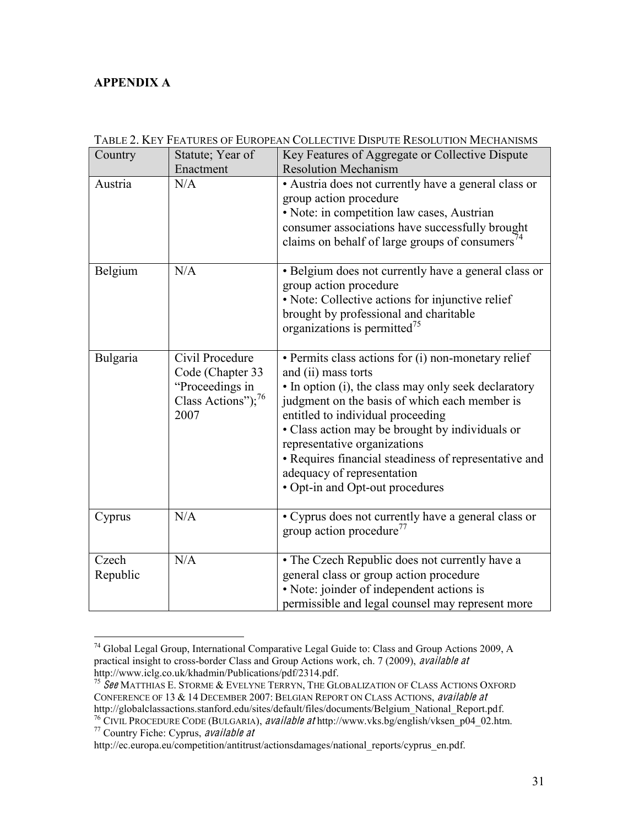# **APPENDIX A**

| Country           | Statute; Year of                                                                                 | Key Features of Aggregate or Collective Dispute                                                                                                                                                                                                                                                                                                                                                                                       |
|-------------------|--------------------------------------------------------------------------------------------------|---------------------------------------------------------------------------------------------------------------------------------------------------------------------------------------------------------------------------------------------------------------------------------------------------------------------------------------------------------------------------------------------------------------------------------------|
|                   | Enactment                                                                                        | <b>Resolution Mechanism</b>                                                                                                                                                                                                                                                                                                                                                                                                           |
| Austria           | N/A                                                                                              | • Austria does not currently have a general class or<br>group action procedure<br>• Note: in competition law cases, Austrian<br>consumer associations have successfully brought<br>claims on behalf of large groups of consumers $^{74}$                                                                                                                                                                                              |
| Belgium           | N/A                                                                                              | • Belgium does not currently have a general class or<br>group action procedure<br>· Note: Collective actions for injunctive relief<br>brought by professional and charitable<br>organizations is permitted <sup>75</sup>                                                                                                                                                                                                              |
| Bulgaria          | Civil Procedure<br>Code (Chapter 33<br>"Proceedings in<br>Class Actions"); <sup>76</sup><br>2007 | • Permits class actions for (i) non-monetary relief<br>and (ii) mass torts<br>• In option (i), the class may only seek declaratory<br>judgment on the basis of which each member is<br>entitled to individual proceeding<br>• Class action may be brought by individuals or<br>representative organizations<br>• Requires financial steadiness of representative and<br>adequacy of representation<br>• Opt-in and Opt-out procedures |
| Cyprus            | N/A                                                                                              | • Cyprus does not currently have a general class or<br>group action procedure <sup>77</sup>                                                                                                                                                                                                                                                                                                                                           |
| Czech<br>Republic | N/A                                                                                              | • The Czech Republic does not currently have a<br>general class or group action procedure<br>• Note: joinder of independent actions is<br>permissible and legal counsel may represent more                                                                                                                                                                                                                                            |

TABLE 2. KEY FEATURES OF EUROPEAN COLLECTIVE DISPUTE RESOLUTION MECHANISMS

 <sup>74</sup> Global Legal Group, International Comparative Legal Guide to: Class and Group Actions 2009, A practical insight to cross-border Class and Group Actions work, ch. 7 (2009), available at http://www.iclg.co.uk/khadmin/Publications/pdf/2314.pdf.

<sup>&</sup>lt;sup>75</sup>  $\textit{Set}$  MATTHIAS E. STORME & EVELYNE TERRYN, THE GLOBALIZATION OF CLASS ACTIONS OXFORD CONFERENCE OF 13  $\&$  14 DECEMBER 2007: BELGIAN REPORT ON CLASS ACTIONS, available at http://globalclassactions.stanford.edu/sites/default/files/documents/Belgium National Report.pdf.

<sup>&</sup>lt;sup>76</sup> CIVIL PROCEDURE CODE (BULGARIA), *available at* http://www.vks.bg/english/vksen\_p04\_02.htm.<br><sup>77</sup> Country Fiche: Cyprus, *available at* 

http://ec.europa.eu/competition/antitrust/actionsdamages/national\_reports/cyprus\_en.pdf.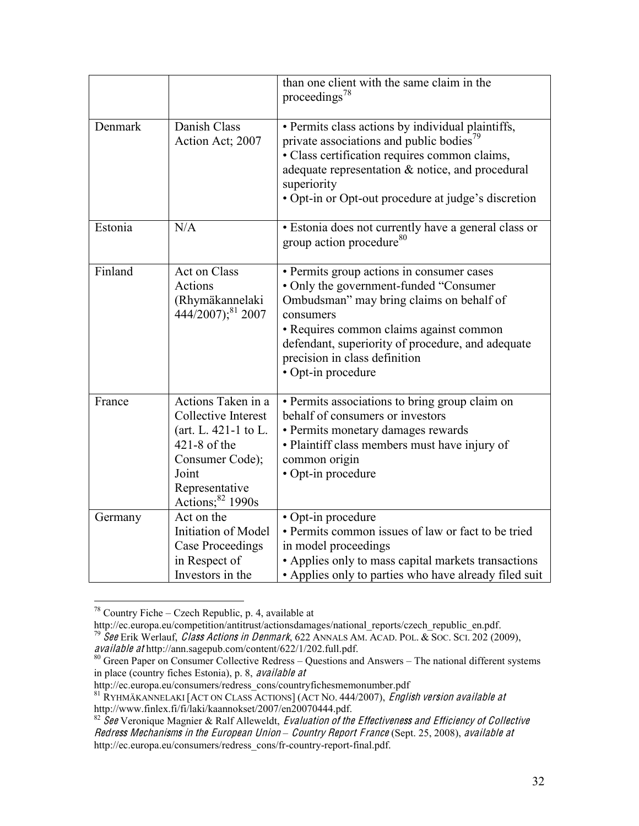|         |                                                                                                                                                          | than one client with the same claim in the<br>proceedings <sup>78</sup>                                                                                                                                                                                                                             |
|---------|----------------------------------------------------------------------------------------------------------------------------------------------------------|-----------------------------------------------------------------------------------------------------------------------------------------------------------------------------------------------------------------------------------------------------------------------------------------------------|
| Denmark | Danish Class<br>Action Act; 2007                                                                                                                         | • Permits class actions by individual plaintiffs,<br>private associations and public bodies <sup>79</sup><br>· Class certification requires common claims,<br>adequate representation & notice, and procedural<br>superiority<br>• Opt-in or Opt-out procedure at judge's discretion                |
| Estonia | N/A                                                                                                                                                      | · Estonia does not currently have a general class or<br>group action procedure <sup>80</sup>                                                                                                                                                                                                        |
| Finland | Act on Class<br>Actions<br>(Rhymäkannelaki<br>444/2007); <sup>81</sup> 2007                                                                              | • Permits group actions in consumer cases<br>• Only the government-funded "Consumer<br>Ombudsman" may bring claims on behalf of<br>consumers<br>• Requires common claims against common<br>defendant, superiority of procedure, and adequate<br>precision in class definition<br>• Opt-in procedure |
| France  | Actions Taken in a<br>Collective Interest<br>(art. L. 421-1 to L.<br>$421-8$ of the<br>Consumer Code);<br>Joint<br>Representative<br>Actions; $82$ 1990s | • Permits associations to bring group claim on<br>behalf of consumers or investors<br>• Permits monetary damages rewards<br>• Plaintiff class members must have injury of<br>common origin<br>• Opt-in procedure                                                                                    |
| Germany | Act on the<br>Initiation of Model<br><b>Case Proceedings</b><br>in Respect of<br>Investors in the                                                        | • Opt-in procedure<br>· Permits common issues of law or fact to be tried<br>in model proceedings<br>• Applies only to mass capital markets transactions<br>• Applies only to parties who have already filed suit                                                                                    |

<sup>&</sup>lt;sup>78</sup> Country Fiche – Czech Republic, p. 4, available at  $\frac{http://ec.europa.eu/competition/antitrust/actionsdamages/national reports/czech republicen.pdf.}$ 

http://ec.europa.europa.europa.europa.europa.europa.europa.europa.europa.europa.europa.europa.europa.europa.eu<br>
79 See Erik Werlauf, *Class Actions in Denmark*, 622 ANNALS AM. ACAD. POL. & Soc. Sci. 202 (2009), *available* 

 $\frac{1}{20}$  Green Paper on Consumer Collective Redress  $-$  Questions and Answers  $-$  The national different systems in place (country fiches Estonia), p. 8, availabl<sup>e</sup> <sup>a</sup><sup>t</sup>

http://ec.europa.eu/consumers/redress\_cons/countryfichesmemonumber.pdf

 $\frac{81}{100}$  RYHMÄKANNELAKI [ACT ON CLASS ACTIONS] (ACT NO. 444/2007), *English version available at* http://www.finlex.fi/fi/laki/kaannokset/2007/en20070444.pdf.

 $82 \text{ }$ See Veronique Magnier & Ralf Alleweldt, Evaluation of the Effectiveness and Efficiency of Collective Redress Mechanisms in the European Union - Country Report France (Sept. 25, 2008), available at http://ec.europa.eu/consumers/redress\_cons/fr-country-report-final.pdf.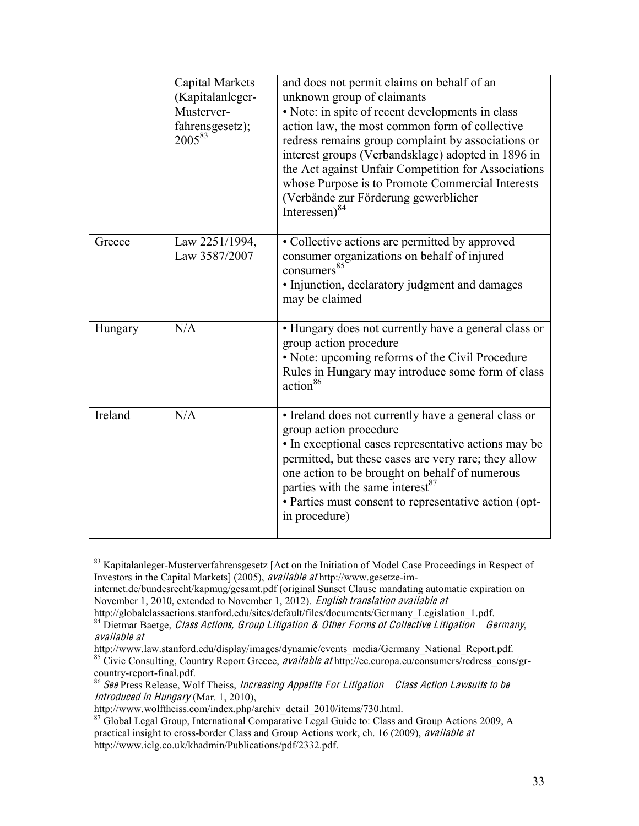|         | <b>Capital Markets</b><br>(Kapitalanleger-<br>Musterver-<br>fahrensgesetz);<br>200583 | and does not permit claims on behalf of an<br>unknown group of claimants<br>• Note: in spite of recent developments in class<br>action law, the most common form of collective<br>redress remains group complaint by associations or<br>interest groups (Verbandsklage) adopted in 1896 in<br>the Act against Unfair Competition for Associations<br>whose Purpose is to Promote Commercial Interests<br>(Verbände zur Förderung gewerblicher<br>Interessen) $84$ |
|---------|---------------------------------------------------------------------------------------|-------------------------------------------------------------------------------------------------------------------------------------------------------------------------------------------------------------------------------------------------------------------------------------------------------------------------------------------------------------------------------------------------------------------------------------------------------------------|
| Greece  | Law 2251/1994,<br>Law 3587/2007                                                       | • Collective actions are permitted by approved<br>consumer organizations on behalf of injured<br>consumers <sup>85</sup><br>· Injunction, declaratory judgment and damages<br>may be claimed                                                                                                                                                                                                                                                                      |
| Hungary | N/A                                                                                   | • Hungary does not currently have a general class or<br>group action procedure<br>• Note: upcoming reforms of the Civil Procedure<br>Rules in Hungary may introduce some form of class<br>action <sup>86</sup>                                                                                                                                                                                                                                                    |
| Ireland | N/A                                                                                   | • Ireland does not currently have a general class or<br>group action procedure<br>• In exceptional cases representative actions may be<br>permitted, but these cases are very rare; they allow<br>one action to be brought on behalf of numerous<br>parties with the same interest <sup>87</sup><br>• Parties must consent to representative action (opt-<br>in procedure)                                                                                        |

<sup>83</sup> Kapitalanleger-Musterverfahrensgesetz [Act on the Initiation of Model Case Proceedings in Respect of Investors in the Capital Markets] (2005), availabl<sup>e</sup> <sup>a</sup><sup>t</sup> http://www.gesetze-im-

internet.de/bundesrecht/kapmug/gesamt.pdf (original Sunset Clause mandating automatic expiration on November 1, 2010, extended to November 1, 2012). English translation available at

http://globalclassactions.stanford.edu/sites/default/files/documents/Germany\_Legislation\_1.pdf. <sup>84</sup> Dietmar Baetge, Class <sup>A</sup>ctions, Group Litigation & <sup>O</sup>the<sup>r</sup> Form<sup>s</sup> <sup>o</sup><sup>f</sup> Collectiv<sup>e</sup> Litigation *±* <sup>G</sup>ermany,

available at

http://www.law.stanford.edu/display/images/dynamic/events\_media/Germany\_National\_Report.pdf. 85 Civic Consulting, Country Report Greece, *available at* http://ec.europa.eu/consumers/redress\_cons/gr-country-report-final.pdf

<sup>&</sup>lt;sup>86</sup> See Press Release, Wolf Theiss, Increasing Appetite For Litigation – Class Action Lawsuits to be Introduced in Hungary (Mar. 1, 2010),

http://www.wolftheiss.com/index.php/archiv\_detail\_2010/items/730.html.

<sup>&</sup>lt;sup>87</sup> Global Legal Group, International Comparative Legal Guide to: Class and Group Actions 2009, A practical insight to cross-border Class and Group Actions work, ch. 16 (2009), availabl<sup>e</sup> <sup>a</sup><sup>t</sup> http://www.iclg.co.uk/khadmin/Publications/pdf/2332.pdf.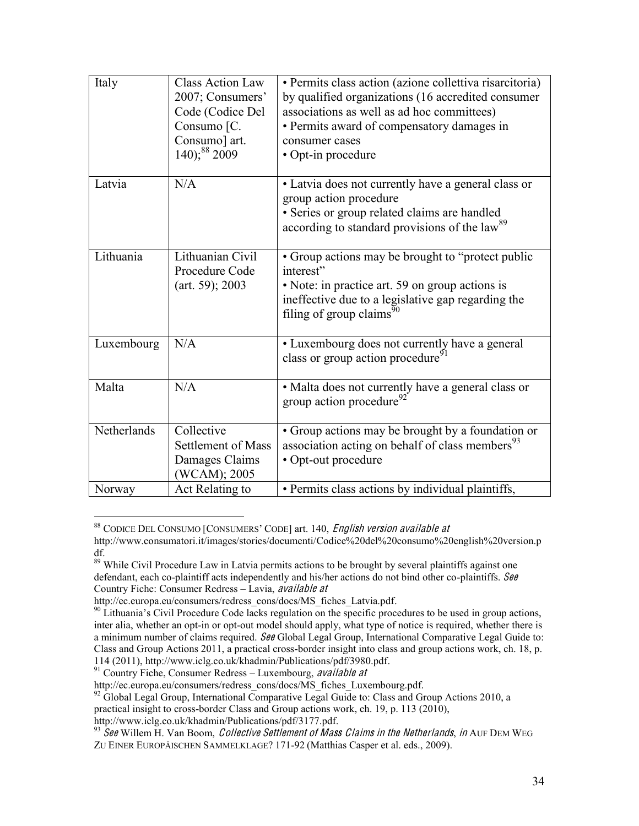| Italy       | <b>Class Action Law</b><br>2007; Consumers'<br>Code (Codice Del<br>Consumo [C.<br>Consumo] art.<br>$140$ ; <sup>88</sup> 2009 | · Permits class action (azione collettiva risarcitoria)<br>by qualified organizations (16 accredited consumer<br>associations as well as ad hoc committees)<br>• Permits award of compensatory damages in<br>consumer cases<br>• Opt-in procedure |
|-------------|-------------------------------------------------------------------------------------------------------------------------------|---------------------------------------------------------------------------------------------------------------------------------------------------------------------------------------------------------------------------------------------------|
| Latvia      | N/A                                                                                                                           | • Latvia does not currently have a general class or<br>group action procedure<br>· Series or group related claims are handled<br>according to standard provisions of the law <sup>89</sup>                                                        |
| Lithuania   | Lithuanian Civil<br>Procedure Code<br>(art. 59); 2003                                                                         | • Group actions may be brought to "protect public"<br>interest"<br>• Note: in practice art. 59 on group actions is<br>ineffective due to a legislative gap regarding the<br>filing of group claims <sup>90</sup>                                  |
| Luxembourg  | N/A                                                                                                                           | • Luxembourg does not currently have a general<br>class or group action procedure <sup>91</sup>                                                                                                                                                   |
| Malta       | N/A                                                                                                                           | • Malta does not currently have a general class or<br>group action procedure <sup>92</sup>                                                                                                                                                        |
| Netherlands | Collective<br><b>Settlement of Mass</b><br>Damages Claims<br>(WCAM); 2005                                                     | • Group actions may be brought by a foundation or<br>association acting on behalf of class members <sup>93</sup><br>• Opt-out procedure                                                                                                           |
| Norway      | Act Relating to                                                                                                               | · Permits class actions by individual plaintiffs,                                                                                                                                                                                                 |

<sup>88</sup> CODICE DEL CONSUMO [CONSUMERS' CODE] art. 140, English version available at

http://www.consumatori.it/images/stories/documenti/Codice%20del%20consumo%20english%20version.p

df.<br><sup>89</sup> While Civil Procedure Law in Latvia permits actions to be brought by several plaintiffs against one defendant, each co-plaintiff acts independently and his/her actions do not bind other co-plaintiffs. See Country Fiche: Consumer Redress - Lavia, available at

http://ec.europa.eu/consumers/redress\_cons/docs/MS\_fiches\_Latvia.pdf.<br><sup>90</sup> Lithuania's Civil Procedure Code lacks regulation on the specific procedures to be used in group actions, inter alia, whether an opt-in or opt-out model should apply, what type of notice is required, whether there is a minimum number of claims required. See Global Legal Group, International Comparative Legal Guide to: Class and Group Actions 2011, a practical cross-border insight into class and group actions work, ch. 18, p. 114 (2011), http://www.iclg.co.uk/khadmin/Publications/pdf/3980.pdf.

<sup>&</sup>lt;sup>91</sup> Country Fiche, Consumer Redress – Luxembourg, *available at* 

http://ec.europa.eu/consumers/redress\_cons/docs/MS\_fiches\_Luxembourg.pdf.

<sup>&</sup>lt;sup>92</sup> Global Legal Group, International Comparative Legal Guide to: Class and Group Actions 2010, a

practical insight to cross-border Class and Group actions work, ch. 19, p. 113 (2010), http://www.iclg.co.uk/khadmin/Publications/pdf/3177.pdf.

 $93\overline{5}$  Gee Willem H. Van Boom, *Collective Settlement of Mass Claims in the Netherlands, in* AUF DEM WEG ZU EINER EUROPÄISCHEN SAMMELKLAGE? 171-92 (Matthias Casper et al. eds., 2009).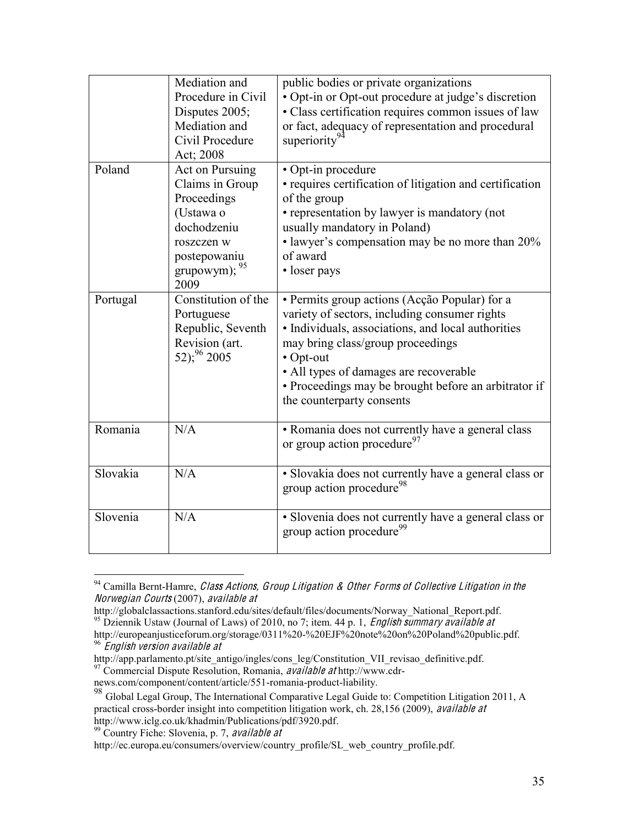|          | Mediation and<br>Procedure in Civil<br>Disputes 2005;<br>Mediation and<br>Civil Procedure<br>Act; 2008                               | public bodies or private organizations<br>• Opt-in or Opt-out procedure at judge's discretion<br>• Class certification requires common issues of law<br>or fact, adequacy of representation and procedural<br>superiority <sup>92</sup>                                                                                               |
|----------|--------------------------------------------------------------------------------------------------------------------------------------|---------------------------------------------------------------------------------------------------------------------------------------------------------------------------------------------------------------------------------------------------------------------------------------------------------------------------------------|
| Poland   | Act on Pursuing<br>Claims in Group<br>Proceedings<br>(Ustawa o<br>dochodzeniu<br>roszczen w<br>postepowaniu<br>grupowym); 95<br>2009 | • Opt-in procedure<br>• requires certification of litigation and certification<br>of the group<br>• representation by lawyer is mandatory (not<br>usually mandatory in Poland)<br>• lawyer's compensation may be no more than 20%<br>of award<br>• loser pays                                                                         |
| Portugal | Constitution of the<br>Portuguese<br>Republic, Seventh<br>Revision (art.<br>$(52)^{96}$ 2005                                         | • Permits group actions (Acção Popular) for a<br>variety of sectors, including consumer rights<br>• Individuals, associations, and local authorities<br>may bring class/group proceedings<br>• Opt-out<br>• All types of damages are recoverable<br>• Proceedings may be brought before an arbitrator if<br>the counterparty consents |
| Romania  | N/A                                                                                                                                  | · Romania does not currently have a general class<br>or group action procedure <sup>97</sup>                                                                                                                                                                                                                                          |
| Slovakia | N/A                                                                                                                                  | · Slovakia does not currently have a general class or<br>group action procedure <sup>98</sup>                                                                                                                                                                                                                                         |
| Slovenia | N/A                                                                                                                                  | · Slovenia does not currently have a general class or<br>group action procedure <sup>99</sup>                                                                                                                                                                                                                                         |

 $94$  Camilla Bernt-Hamre, *Class Actions, Group Litigation & Other Forms of Collective Litigation in the* Norwegian Courts (2007), availabl<sup>e</sup> <sup>a</sup><sup>t</sup>

http://globalclassactions.stanford.edu/sites/default/files/documents/Norway\_National\_Report.pdf.

<sup>&</sup>lt;sup>95</sup> Dziennik Ustaw (Journal of Laws) of 2010, no 7; item. 44 p. 1, *English summary available at* 

http://europeanjusticeforum.org/storage/0311%20-%20EJF%20note%20on%20Poland%20public.pdf. <sup>96</sup> Englis<sup>h</sup> <sup>v</sup>ersion availabl<sup>e</sup> <sup>a</sup><sup>t</sup>

http://app.parlamento.pt/site\_antigo/ingles/cons\_leg/Constitution\_VII\_revisao\_definitive.pdf.

<sup>&</sup>lt;sup>97</sup> Commercial Dispute Resolution, Romania, available at http://www.cdr-

news.com/component/content/article/551-romania-product-liability.

<sup>98&</sup>lt;br><sup>98</sup> Global Legal Group, The International Comparative Legal Guide to: Competition Litigation 2011, A practical cross-border insight into competition litigation work, ch. 28,156 (2009), *available at* http://www.iclg.co.uk/khadmin/Publications/pdf/3920.pdf.

 $\frac{100}{99}$  Country Fiche: Slovenia, p. 7, available at

http://ec.europa.eu/consumers/overview/country\_profile/SL\_web\_country\_profile.pdf.